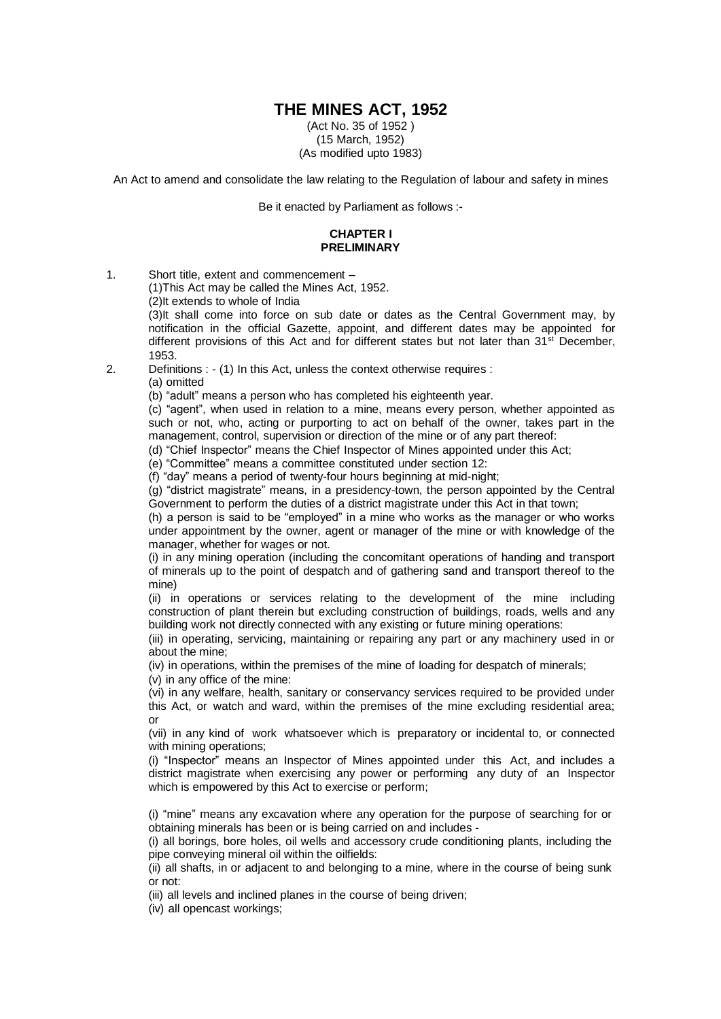# **THE MINES ACT, 1952**

(Act No. 35 of 1952 ) (15 March, 1952) (As modified upto 1983)

An Act to amend and consolidate the law relating to the Regulation of labour and safety in mines

Be it enacted by Parliament as follows :-

#### **CHAPTER I PRELIMINARY**

1. Short title, extent and commencement –

(1)This Act may be called the Mines Act, 1952.

(2)It extends to whole of India

(3)It shall come into force on sub date or dates as the Central Government may, by notification in the official Gazette, appoint, and different dates may be appointed for different provisions of this Act and for different states but not later than  $31<sup>st</sup>$  December, 1953.

2. Definitions : - (1) In this Act, unless the context otherwise requires :

(a) omitted

(b) "adult" means a person who has completed his eighteenth year.

(c) "agent", when used in relation to a mine, means every person, whether appointed as such or not, who, acting or purporting to act on behalf of the owner, takes part in the management, control, supervision or direction of the mine or of any part thereof:

(d) "Chief Inspector" means the Chief Inspector of Mines appointed under this Act;

(e) "Committee" means a committee constituted under section 12:

(f) "day" means a period of twenty-four hours beginning at mid-night;

(g) "district magistrate" means, in a presidency-town, the person appointed by the Central Government to perform the duties of a district magistrate under this Act in that town;

(h) a person is said to be "employed" in a mine who works as the manager or who works under appointment by the owner, agent or manager of the mine or with knowledge of the manager, whether for wages or not.

(i) in any mining operation (including the concomitant operations of handing and transport of minerals up to the point of despatch and of gathering sand and transport thereof to the mine)

(ii) in operations or services relating to the development of the mine including construction of plant therein but excluding construction of buildings, roads, wells and any building work not directly connected with any existing or future mining operations:

(iii) in operating, servicing, maintaining or repairing any part or any machinery used in or about the mine;

(iv) in operations, within the premises of the mine of loading for despatch of minerals;

(v) in any office of the mine:

(vi) in any welfare, health, sanitary or conservancy services required to be provided under this Act, or watch and ward, within the premises of the mine excluding residential area; or

(vii) in any kind of work whatsoever which is preparatory or incidental to, or connected with mining operations;

(i) "Inspector" means an Inspector of Mines appointed under this Act, and includes a district magistrate when exercising any power or performing any duty of an Inspector which is empowered by this Act to exercise or perform;

(i) "mine" means any excavation where any operation for the purpose of searching for or obtaining minerals has been or is being carried on and includes -

(i) all borings, bore holes, oil wells and accessory crude conditioning plants, including the pipe conveying mineral oil within the oilfields:

(ii) all shafts, in or adjacent to and belonging to a mine, where in the course of being sunk or not:

(iii) all levels and inclined planes in the course of being driven;

(iv) all opencast workings;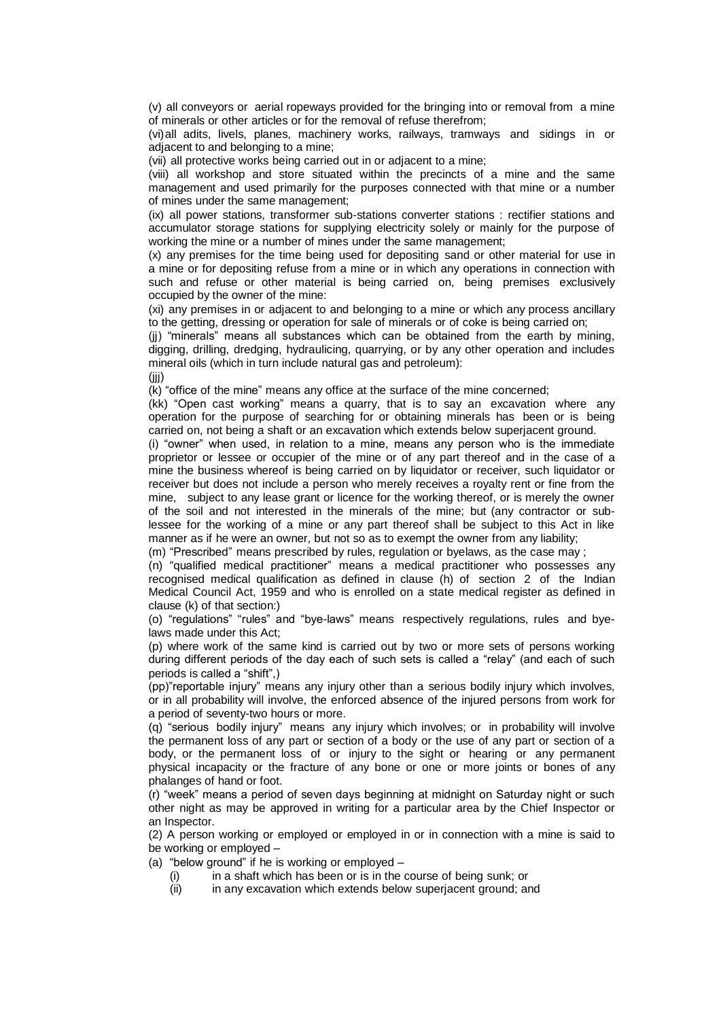(v) all conveyors or aerial ropeways provided for the bringing into or removal from a mine of minerals or other articles or for the removal of refuse therefrom;

(vi)all adits, livels, planes, machinery works, railways, tramways and sidings in or adjacent to and belonging to a mine;

(vii) all protective works being carried out in or adjacent to a mine;

(viii) all workshop and store situated within the precincts of a mine and the same management and used primarily for the purposes connected with that mine or a number of mines under the same management;

(ix) all power stations, transformer sub-stations converter stations : rectifier stations and accumulator storage stations for supplying electricity solely or mainly for the purpose of working the mine or a number of mines under the same management;

(x) any premises for the time being used for depositing sand or other material for use in a mine or for depositing refuse from a mine or in which any operations in connection with such and refuse or other material is being carried on, being premises exclusively occupied by the owner of the mine:

(xi) any premises in or adjacent to and belonging to a mine or which any process ancillary to the getting, dressing or operation for sale of minerals or of coke is being carried on;

(jj) "minerals" means all substances which can be obtained from the earth by mining, digging, drilling, dredging, hydraulicing, quarrying, or by any other operation and includes mineral oils (which in turn include natural gas and petroleum):

 $(iii)$ 

(k) "office of the mine" means any office at the surface of the mine concerned;

(kk) "Open cast working" means a quarry, that is to say an excavation where any operation for the purpose of searching for or obtaining minerals has been or is being carried on, not being a shaft or an excavation which extends below superjacent ground.

(i) "owner" when used, in relation to a mine, means any person who is the immediate proprietor or lessee or occupier of the mine or of any part thereof and in the case of a mine the business whereof is being carried on by liquidator or receiver, such liquidator or receiver but does not include a person who merely receives a royalty rent or fine from the mine, subject to any lease grant or licence for the working thereof, or is merely the owner of the soil and not interested in the minerals of the mine; but (any contractor or sublessee for the working of a mine or any part thereof shall be subject to this Act in like manner as if he were an owner, but not so as to exempt the owner from any liability;

(m) "Prescribed" means prescribed by rules, regulation or byelaws, as the case may ;

(n) "qualified medical practitioner" means a medical practitioner who possesses any recognised medical qualification as defined in clause (h) of section 2 of the Indian Medical Council Act, 1959 and who is enrolled on a state medical register as defined in clause (k) of that section:)

(o) "regulations" "rules" and "bye-laws" means respectively regulations, rules and byelaws made under this Act;

(p) where work of the same kind is carried out by two or more sets of persons working during different periods of the day each of such sets is called a "relay" (and each of such periods is called a "shift",)

(pp)"reportable injury" means any injury other than a serious bodily injury which involves, or in all probability will involve, the enforced absence of the injured persons from work for a period of seventy-two hours or more.

(q) "serious bodily injury" means any injury which involves; or in probability will involve the permanent loss of any part or section of a body or the use of any part or section of a body, or the permanent loss of or injury to the sight or hearing or any permanent physical incapacity or the fracture of any bone or one or more joints or bones of any phalanges of hand or foot.

(r) "week" means a period of seven days beginning at midnight on Saturday night or such other night as may be approved in writing for a particular area by the Chief Inspector or an Inspector.

(2) A person working or employed or employed in or in connection with a mine is said to be working or employed –

(a) "below ground" if he is working or employed –

- (i) in a shaft which has been or is in the course of being sunk; or
- (ii) in any excavation which extends below superjacent ground; and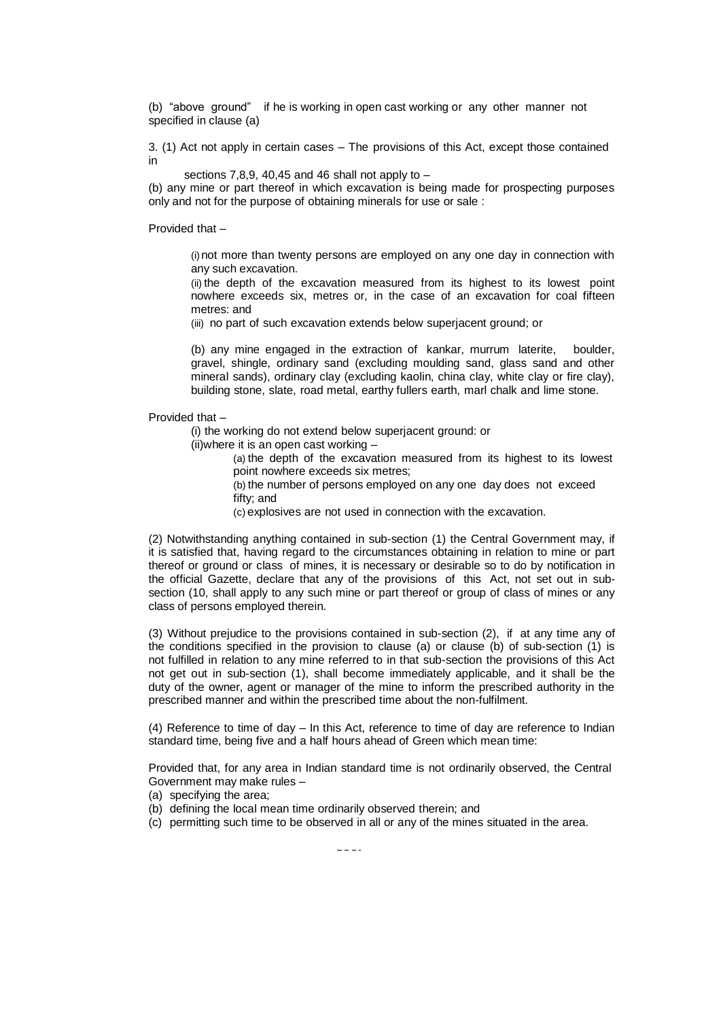(b) "above ground" if he is working in open cast working or any other manner not specified in clause (a)

3. (1) Act not apply in certain cases – The provisions of this Act, except those contained in

sections 7,8,9, 40,45 and 46 shall not apply to  $-$ 

(b) any mine or part thereof in which excavation is being made for prospecting purposes only and not for the purpose of obtaining minerals for use or sale :

Provided that –

(i)not more than twenty persons are employed on any one day in connection with any such excavation.

(ii) the depth of the excavation measured from its highest to its lowest point nowhere exceeds six, metres or, in the case of an excavation for coal fifteen metres: and

(iii) no part of such excavation extends below superjacent ground; or

(b) any mine engaged in the extraction of kankar, murrum laterite, boulder, gravel, shingle, ordinary sand (excluding moulding sand, glass sand and other mineral sands), ordinary clay (excluding kaolin, china clay, white clay or fire clay), building stone, slate, road metal, earthy fullers earth, marl chalk and lime stone.

Provided that –

(i) the working do not extend below superjacent ground: or

(ii)where it is an open cast working –

(a) the depth of the excavation measured from its highest to its lowest point nowhere exceeds six metres;

(b) the number of persons employed on any one day does not exceed fifty; and

(c) explosives are not used in connection with the excavation.

(2) Notwithstanding anything contained in sub-section (1) the Central Government may, if it is satisfied that, having regard to the circumstances obtaining in relation to mine or part thereof or ground or class of mines, it is necessary or desirable so to do by notification in the official Gazette, declare that any of the provisions of this Act, not set out in subsection (10, shall apply to any such mine or part thereof or group of class of mines or any class of persons employed therein.

(3) Without prejudice to the provisions contained in sub-section (2), if at any time any of the conditions specified in the provision to clause (a) or clause (b) of sub-section (1) is not fulfilled in relation to any mine referred to in that sub-section the provisions of this Act not get out in sub-section (1), shall become immediately applicable, and it shall be the duty of the owner, agent or manager of the mine to inform the prescribed authority in the prescribed manner and within the prescribed time about the non-fulfilment.

(4) Reference to time of day – In this Act, reference to time of day are reference to Indian standard time, being five and a half hours ahead of Green which mean time:

Provided that, for any area in Indian standard time is not ordinarily observed, the Central Government may make rules –

- (a) specifying the area;
- (b) defining the local mean time ordinarily observed therein; and
- (c) permitting such time to be observed in all or any of the mines situated in the area.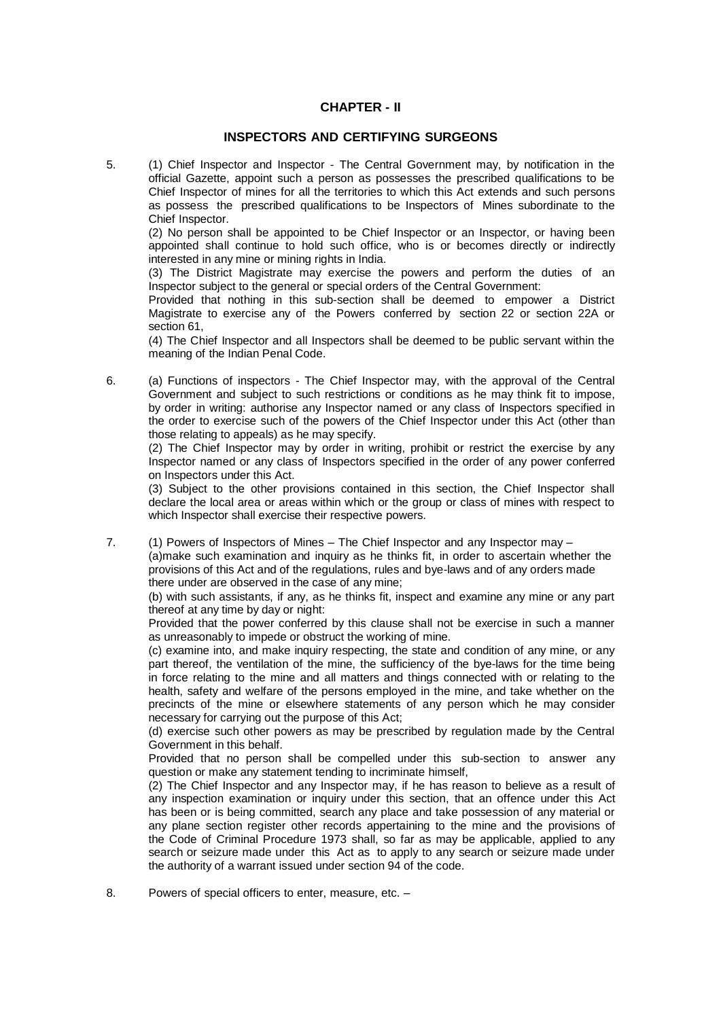## **CHAPTER - II**

## **INSPECTORS AND CERTIFYING SURGEONS**

5. (1) Chief Inspector and Inspector - The Central Government may, by notification in the official Gazette, appoint such a person as possesses the prescribed qualifications to be Chief Inspector of mines for all the territories to which this Act extends and such persons as possess the prescribed qualifications to be Inspectors of Mines subordinate to the Chief Inspector.

(2) No person shall be appointed to be Chief Inspector or an Inspector, or having been appointed shall continue to hold such office, who is or becomes directly or indirectly interested in any mine or mining rights in India.

(3) The District Magistrate may exercise the powers and perform the duties of an Inspector subject to the general or special orders of the Central Government:

Provided that nothing in this sub-section shall be deemed to empower a District Magistrate to exercise any of the Powers conferred by section 22 or section 22A or section 61.

(4) The Chief Inspector and all Inspectors shall be deemed to be public servant within the meaning of the Indian Penal Code.

6. (a) Functions of inspectors - The Chief Inspector may, with the approval of the Central Government and subject to such restrictions or conditions as he may think fit to impose, by order in writing: authorise any Inspector named or any class of Inspectors specified in the order to exercise such of the powers of the Chief Inspector under this Act (other than those relating to appeals) as he may specify.

(2) The Chief Inspector may by order in writing, prohibit or restrict the exercise by any Inspector named or any class of Inspectors specified in the order of any power conferred on Inspectors under this Act.

(3) Subject to the other provisions contained in this section, the Chief Inspector shall declare the local area or areas within which or the group or class of mines with respect to which Inspector shall exercise their respective powers.

7. (1) Powers of Inspectors of Mines – The Chief Inspector and any Inspector may – (a)make such examination and inquiry as he thinks fit, in order to ascertain whether the provisions of this Act and of the regulations, rules and bye-laws and of any orders made there under are observed in the case of any mine;

(b) with such assistants, if any, as he thinks fit, inspect and examine any mine or any part thereof at any time by day or night:

Provided that the power conferred by this clause shall not be exercise in such a manner as unreasonably to impede or obstruct the working of mine.

(c) examine into, and make inquiry respecting, the state and condition of any mine, or any part thereof, the ventilation of the mine, the sufficiency of the bye-laws for the time being in force relating to the mine and all matters and things connected with or relating to the health, safety and welfare of the persons employed in the mine, and take whether on the precincts of the mine or elsewhere statements of any person which he may consider necessary for carrying out the purpose of this Act;

(d) exercise such other powers as may be prescribed by regulation made by the Central Government in this behalf.

Provided that no person shall be compelled under this sub-section to answer any question or make any statement tending to incriminate himself,

(2) The Chief Inspector and any Inspector may, if he has reason to believe as a result of any inspection examination or inquiry under this section, that an offence under this Act has been or is being committed, search any place and take possession of any material or any plane section register other records appertaining to the mine and the provisions of the Code of Criminal Procedure 1973 shall, so far as may be applicable, applied to any search or seizure made under this Act as to apply to any search or seizure made under the authority of a warrant issued under section 94 of the code.

8. Powers of special officers to enter, measure, etc. –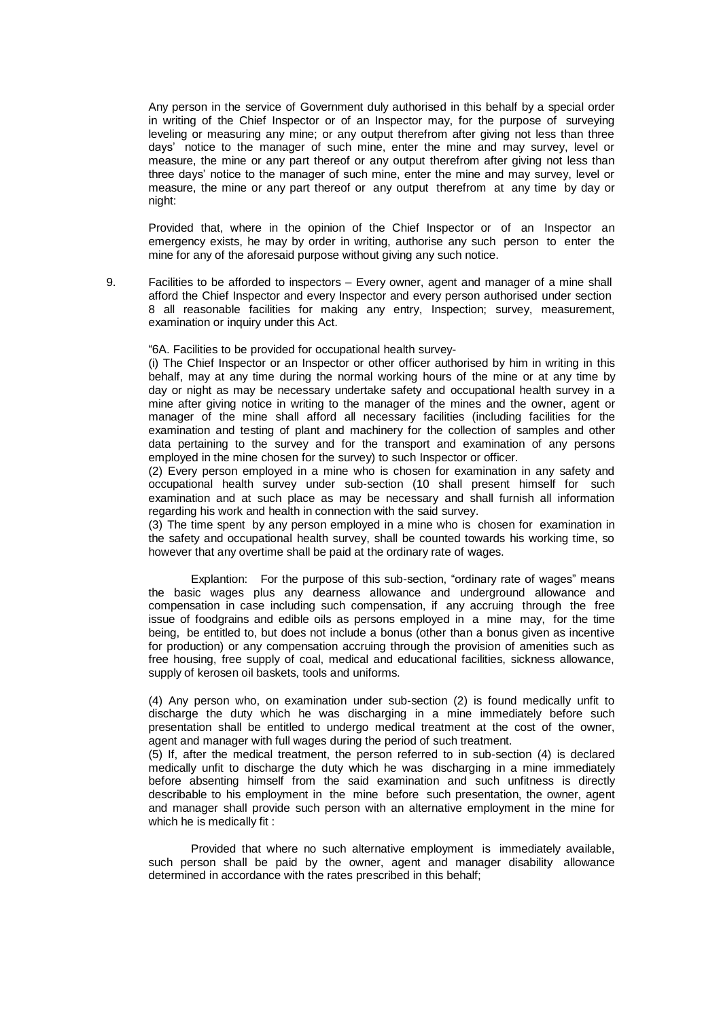Any person in the service of Government duly authorised in this behalf by a special order in writing of the Chief Inspector or of an Inspector may, for the purpose of surveying leveling or measuring any mine; or any output therefrom after giving not less than three days' notice to the manager of such mine, enter the mine and may survey, level or measure, the mine or any part thereof or any output therefrom after giving not less than three days' notice to the manager of such mine, enter the mine and may survey, level or measure, the mine or any part thereof or any output therefrom at any time by day or night:

Provided that, where in the opinion of the Chief Inspector or of an Inspector an emergency exists, he may by order in writing, authorise any such person to enter the mine for any of the aforesaid purpose without giving any such notice.

9. Facilities to be afforded to inspectors – Every owner, agent and manager of a mine shall afford the Chief Inspector and every Inspector and every person authorised under section 8 all reasonable facilities for making any entry, Inspection; survey, measurement, examination or inquiry under this Act.

"6A. Facilities to be provided for occupational health survey-

(i) The Chief Inspector or an Inspector or other officer authorised by him in writing in this behalf, may at any time during the normal working hours of the mine or at any time by day or night as may be necessary undertake safety and occupational health survey in a mine after giving notice in writing to the manager of the mines and the owner, agent or manager of the mine shall afford all necessary facilities (including facilities for the examination and testing of plant and machinery for the collection of samples and other data pertaining to the survey and for the transport and examination of any persons employed in the mine chosen for the survey) to such Inspector or officer.

(2) Every person employed in a mine who is chosen for examination in any safety and occupational health survey under sub-section (10 shall present himself for such examination and at such place as may be necessary and shall furnish all information regarding his work and health in connection with the said survey.

(3) The time spent by any person employed in a mine who is chosen for examination in the safety and occupational health survey, shall be counted towards his working time, so however that any overtime shall be paid at the ordinary rate of wages.

Explantion: For the purpose of this sub-section, "ordinary rate of wages" means the basic wages plus any dearness allowance and underground allowance and compensation in case including such compensation, if any accruing through the free issue of foodgrains and edible oils as persons employed in a mine may, for the time being, be entitled to, but does not include a bonus (other than a bonus given as incentive for production) or any compensation accruing through the provision of amenities such as free housing, free supply of coal, medical and educational facilities, sickness allowance, supply of kerosen oil baskets, tools and uniforms.

(4) Any person who, on examination under sub-section (2) is found medically unfit to discharge the duty which he was discharging in a mine immediately before such presentation shall be entitled to undergo medical treatment at the cost of the owner, agent and manager with full wages during the period of such treatment.

(5) If, after the medical treatment, the person referred to in sub-section (4) is declared medically unfit to discharge the duty which he was discharging in a mine immediately before absenting himself from the said examination and such unfitness is directly describable to his employment in the mine before such presentation, the owner, agent and manager shall provide such person with an alternative employment in the mine for which he is medically fit :

Provided that where no such alternative employment is immediately available, such person shall be paid by the owner, agent and manager disability allowance determined in accordance with the rates prescribed in this behalf;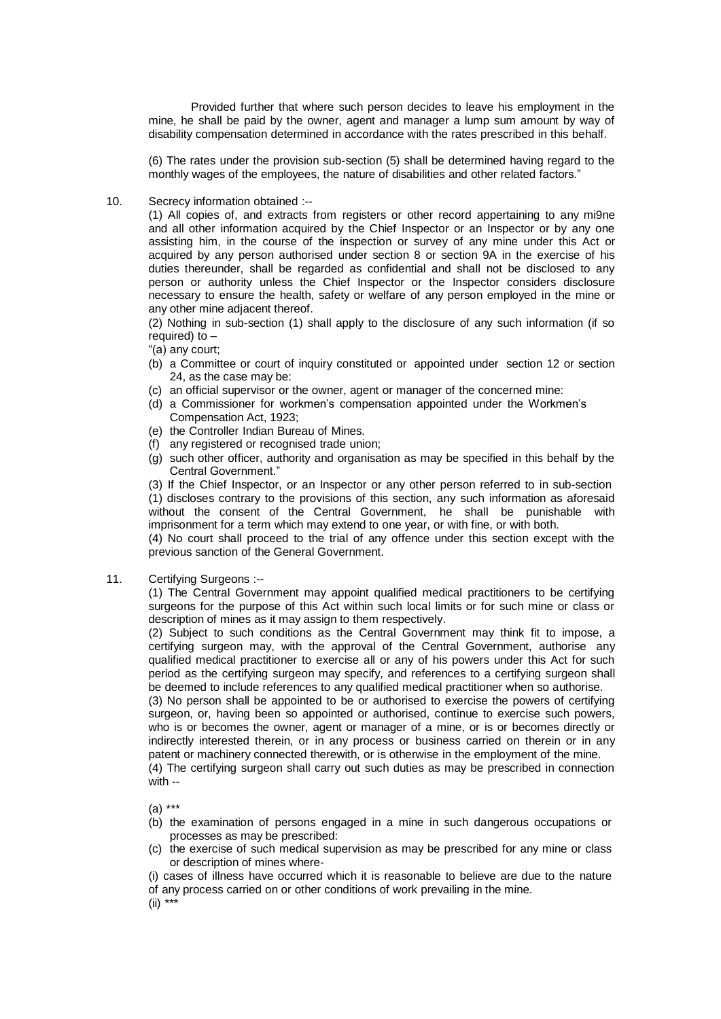Provided further that where such person decides to leave his employment in the mine, he shall be paid by the owner, agent and manager a lump sum amount by way of disability compensation determined in accordance with the rates prescribed in this behalf.

(6) The rates under the provision sub-section (5) shall be determined having regard to the monthly wages of the employees, the nature of disabilities and other related factors."

10. Secrecy information obtained :--

(1) All copies of, and extracts from registers or other record appertaining to any mi9ne and all other information acquired by the Chief Inspector or an Inspector or by any one assisting him, in the course of the inspection or survey of any mine under this Act or acquired by any person authorised under section 8 or section 9A in the exercise of his duties thereunder, shall be regarded as confidential and shall not be disclosed to any person or authority unless the Chief Inspector or the Inspector considers disclosure necessary to ensure the health, safety or welfare of any person employed in the mine or any other mine adjacent thereof.

(2) Nothing in sub-section (1) shall apply to the disclosure of any such information (if so required) to –

- "(a) any court;
- (b) a Committee or court of inquiry constituted or appointed under section 12 or section 24, as the case may be:
- (c) an official supervisor or the owner, agent or manager of the concerned mine:
- (d) a Commissioner for workmen's compensation appointed under the Workmen's Compensation Act, 1923;
- (e) the Controller Indian Bureau of Mines.
- (f) any registered or recognised trade union;
- (g) such other officer, authority and organisation as may be specified in this behalf by the Central Government."
- (3) If the Chief Inspector, or an Inspector or any other person referred to in sub-section

(1) discloses contrary to the provisions of this section, any such information as aforesaid without the consent of the Central Government, he shall be punishable with imprisonment for a term which may extend to one year, or with fine, or with both.

(4) No court shall proceed to the trial of any offence under this section except with the previous sanction of the General Government.

## 11. Certifying Surgeons :--

(1) The Central Government may appoint qualified medical practitioners to be certifying surgeons for the purpose of this Act within such local limits or for such mine or class or description of mines as it may assign to them respectively.

(2) Subject to such conditions as the Central Government may think fit to impose, a certifying surgeon may, with the approval of the Central Government, authorise any qualified medical practitioner to exercise all or any of his powers under this Act for such period as the certifying surgeon may specify, and references to a certifying surgeon shall be deemed to include references to any qualified medical practitioner when so authorise.

(3) No person shall be appointed to be or authorised to exercise the powers of certifying surgeon, or, having been so appointed or authorised, continue to exercise such powers, who is or becomes the owner, agent or manager of a mine, or is or becomes directly or indirectly interested therein, or in any process or business carried on therein or in any patent or machinery connected therewith, or is otherwise in the employment of the mine.

(4) The certifying surgeon shall carry out such duties as may be prescribed in connection with --

(a) \*\*\*

- (b) the examination of persons engaged in a mine in such dangerous occupations or processes as may be prescribed:
- (c) the exercise of such medical supervision as may be prescribed for any mine or class or description of mines where-

(i) cases of illness have occurred which it is reasonable to believe are due to the nature of any process carried on or other conditions of work prevailing in the mine.

 $(ii)$  \*\*\*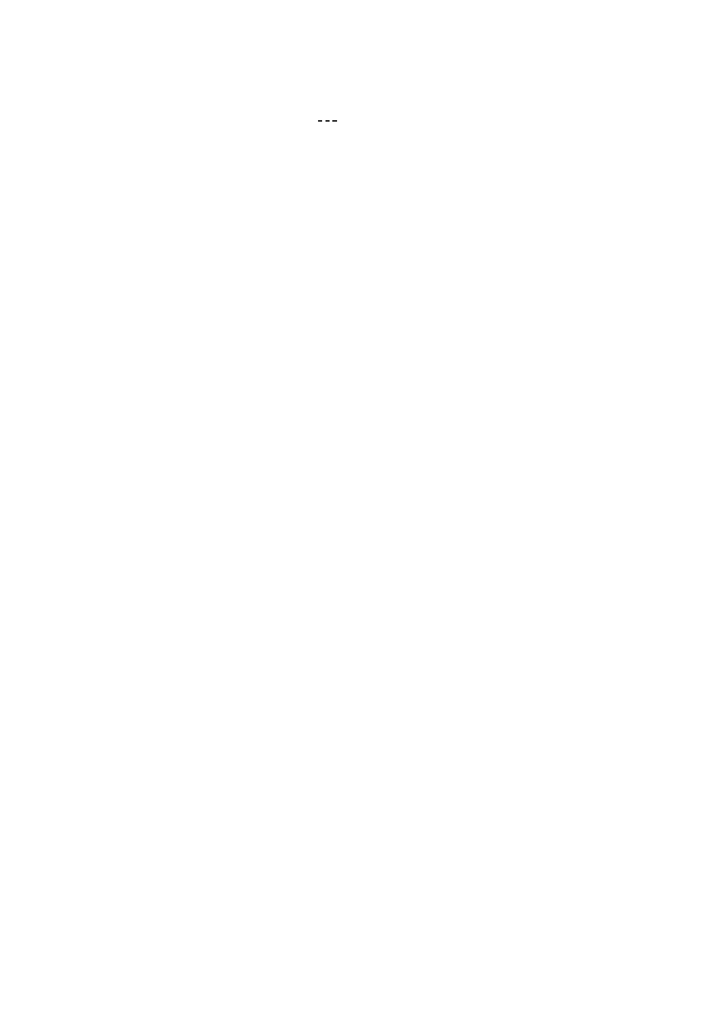$\omega \equiv \omega$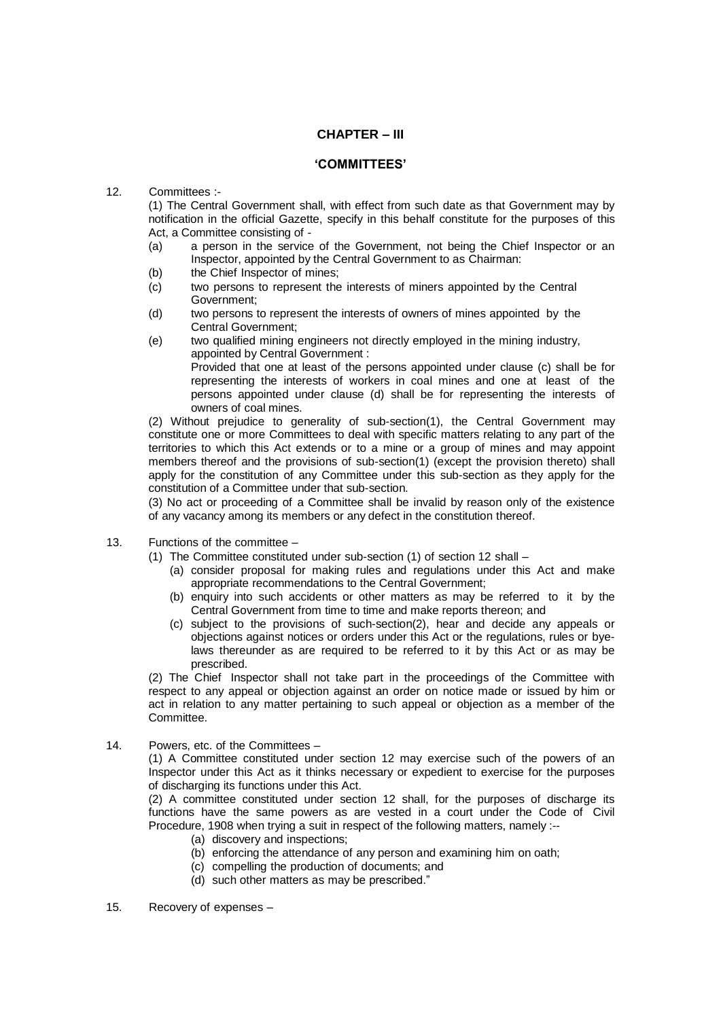## **CHAPTER – III**

## **'COMMITTEES'**

12. Committees :-

(1) The Central Government shall, with effect from such date as that Government may by notification in the official Gazette, specify in this behalf constitute for the purposes of this Act, a Committee consisting of -

- (a) a person in the service of the Government, not being the Chief Inspector or an Inspector, appointed by the Central Government to as Chairman:
- (b) the Chief Inspector of mines;
- (c) two persons to represent the interests of miners appointed by the Central Government;
- (d) two persons to represent the interests of owners of mines appointed by the Central Government;
- (e) two qualified mining engineers not directly employed in the mining industry, appointed by Central Government : Provided that one at least of the persons appointed under clause (c) shall be for representing the interests of workers in coal mines and one at least of the persons appointed under clause (d) shall be for representing the interests of owners of coal mines.

(2) Without prejudice to generality of sub-section(1), the Central Government may constitute one or more Committees to deal with specific matters relating to any part of the territories to which this Act extends or to a mine or a group of mines and may appoint members thereof and the provisions of sub-section(1) (except the provision thereto) shall apply for the constitution of any Committee under this sub-section as they apply for the constitution of a Committee under that sub-section.

(3) No act or proceeding of a Committee shall be invalid by reason only of the existence of any vacancy among its members or any defect in the constitution thereof.

- 13. Functions of the committee
	- (1) The Committee constituted under sub-section (1) of section 12 shall
		- (a) consider proposal for making rules and regulations under this Act and make appropriate recommendations to the Central Government;
		- (b) enquiry into such accidents or other matters as may be referred to it by the Central Government from time to time and make reports thereon; and
		- (c) subject to the provisions of such-section(2), hear and decide any appeals or objections against notices or orders under this Act or the regulations, rules or byelaws thereunder as are required to be referred to it by this Act or as may be prescribed.

(2) The Chief Inspector shall not take part in the proceedings of the Committee with respect to any appeal or objection against an order on notice made or issued by him or act in relation to any matter pertaining to such appeal or objection as a member of the Committee.

14. Powers, etc. of the Committees –

(1) A Committee constituted under section 12 may exercise such of the powers of an Inspector under this Act as it thinks necessary or expedient to exercise for the purposes of discharging its functions under this Act.

(2) A committee constituted under section 12 shall, for the purposes of discharge its functions have the same powers as are vested in a court under the Code of Civil Procedure, 1908 when trying a suit in respect of the following matters, namely :--

- (a) discovery and inspections;
- (b) enforcing the attendance of any person and examining him on oath;
- (c) compelling the production of documents; and
- (d) such other matters as may be prescribed."
- 15. Recovery of expenses –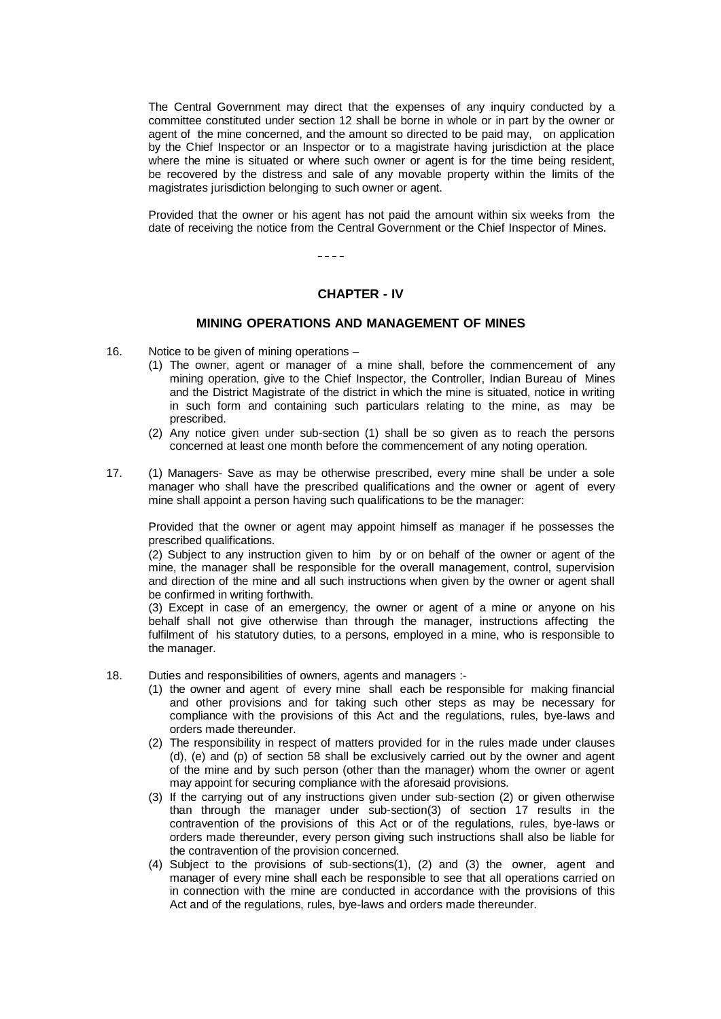The Central Government may direct that the expenses of any inquiry conducted by a committee constituted under section 12 shall be borne in whole or in part by the owner or agent of the mine concerned, and the amount so directed to be paid may, on application by the Chief Inspector or an Inspector or to a magistrate having jurisdiction at the place where the mine is situated or where such owner or agent is for the time being resident, be recovered by the distress and sale of any movable property within the limits of the magistrates jurisdiction belonging to such owner or agent.

Provided that the owner or his agent has not paid the amount within six weeks from the date of receiving the notice from the Central Government or the Chief Inspector of Mines.

## **CHAPTER - IV**

## **MINING OPERATIONS AND MANAGEMENT OF MINES**

- 16. Notice to be given of mining operations
	- (1) The owner, agent or manager of a mine shall, before the commencement of any mining operation, give to the Chief Inspector, the Controller, Indian Bureau of Mines and the District Magistrate of the district in which the mine is situated, notice in writing in such form and containing such particulars relating to the mine, as may be prescribed.
	- (2) Any notice given under sub-section (1) shall be so given as to reach the persons concerned at least one month before the commencement of any noting operation.
- 17. (1) Managers- Save as may be otherwise prescribed, every mine shall be under a sole manager who shall have the prescribed qualifications and the owner or agent of every mine shall appoint a person having such qualifications to be the manager:

Provided that the owner or agent may appoint himself as manager if he possesses the prescribed qualifications.

(2) Subject to any instruction given to him by or on behalf of the owner or agent of the mine, the manager shall be responsible for the overall management, control, supervision and direction of the mine and all such instructions when given by the owner or agent shall be confirmed in writing forthwith.

(3) Except in case of an emergency, the owner or agent of a mine or anyone on his behalf shall not give otherwise than through the manager, instructions affecting the fulfilment of his statutory duties, to a persons, employed in a mine, who is responsible to the manager.

- 18. Duties and responsibilities of owners, agents and managers :-
	- (1) the owner and agent of every mine shall each be responsible for making financial and other provisions and for taking such other steps as may be necessary for compliance with the provisions of this Act and the regulations, rules, bye-laws and orders made thereunder.
	- (2) The responsibility in respect of matters provided for in the rules made under clauses (d), (e) and (p) of section 58 shall be exclusively carried out by the owner and agent of the mine and by such person (other than the manager) whom the owner or agent may appoint for securing compliance with the aforesaid provisions.
	- (3) If the carrying out of any instructions given under sub-section (2) or given otherwise than through the manager under sub-section(3) of section 17 results in the contravention of the provisions of this Act or of the regulations, rules, bye-laws or orders made thereunder, every person giving such instructions shall also be liable for the contravention of the provision concerned.
	- (4) Subject to the provisions of sub-sections(1), (2) and (3) the owner, agent and manager of every mine shall each be responsible to see that all operations carried on in connection with the mine are conducted in accordance with the provisions of this Act and of the regulations, rules, bye-laws and orders made thereunder.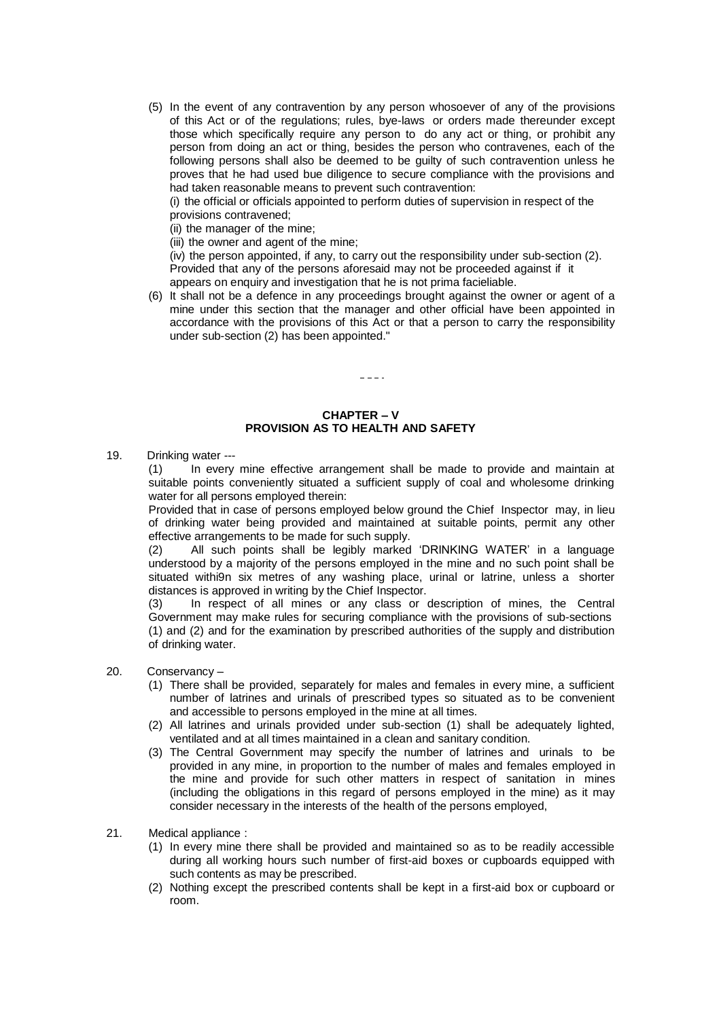(5) In the event of any contravention by any person whosoever of any of the provisions of this Act or of the regulations; rules, bye-laws or orders made thereunder except those which specifically require any person to do any act or thing, or prohibit any person from doing an act or thing, besides the person who contravenes, each of the following persons shall also be deemed to be guilty of such contravention unless he proves that he had used bue diligence to secure compliance with the provisions and had taken reasonable means to prevent such contravention:

(i) the official or officials appointed to perform duties of supervision in respect of the provisions contravened;

(ii) the manager of the mine;

(iii) the owner and agent of the mine;

(iv) the person appointed, if any, to carry out the responsibility under sub-section (2). Provided that any of the persons aforesaid may not be proceeded against if it appears on enquiry and investigation that he is not prima facieliable.

(6) It shall not be a defence in any proceedings brought against the owner or agent of a mine under this section that the manager and other official have been appointed in accordance with the provisions of this Act or that a person to carry the responsibility under sub-section (2) has been appointed."

## **CHAPTER – V PROVISION AS TO HEALTH AND SAFETY**

 $- - - -$ 

19. Drinking water ---

(1) In every mine effective arrangement shall be made to provide and maintain at suitable points conveniently situated a sufficient supply of coal and wholesome drinking water for all persons employed therein:

Provided that in case of persons employed below ground the Chief Inspector may, in lieu of drinking water being provided and maintained at suitable points, permit any other effective arrangements to be made for such supply.

(2) All such points shall be legibly marked 'DRINKING WATER' in a language understood by a majority of the persons employed in the mine and no such point shall be situated withi9n six metres of any washing place, urinal or latrine, unless a shorter distances is approved in writing by the Chief Inspector.

(3) In respect of all mines or any class or description of mines, the Central Government may make rules for securing compliance with the provisions of sub-sections (1) and (2) and for the examination by prescribed authorities of the supply and distribution of drinking water.

- 20. Conservancy
	- (1) There shall be provided, separately for males and females in every mine, a sufficient number of latrines and urinals of prescribed types so situated as to be convenient and accessible to persons employed in the mine at all times.
	- (2) All latrines and urinals provided under sub-section (1) shall be adequately lighted, ventilated and at all times maintained in a clean and sanitary condition.
	- (3) The Central Government may specify the number of latrines and urinals to be provided in any mine, in proportion to the number of males and females employed in the mine and provide for such other matters in respect of sanitation in mines (including the obligations in this regard of persons employed in the mine) as it may consider necessary in the interests of the health of the persons employed,

21. Medical appliance :

- (1) In every mine there shall be provided and maintained so as to be readily accessible during all working hours such number of first-aid boxes or cupboards equipped with such contents as may be prescribed.
- (2) Nothing except the prescribed contents shall be kept in a first-aid box or cupboard or room.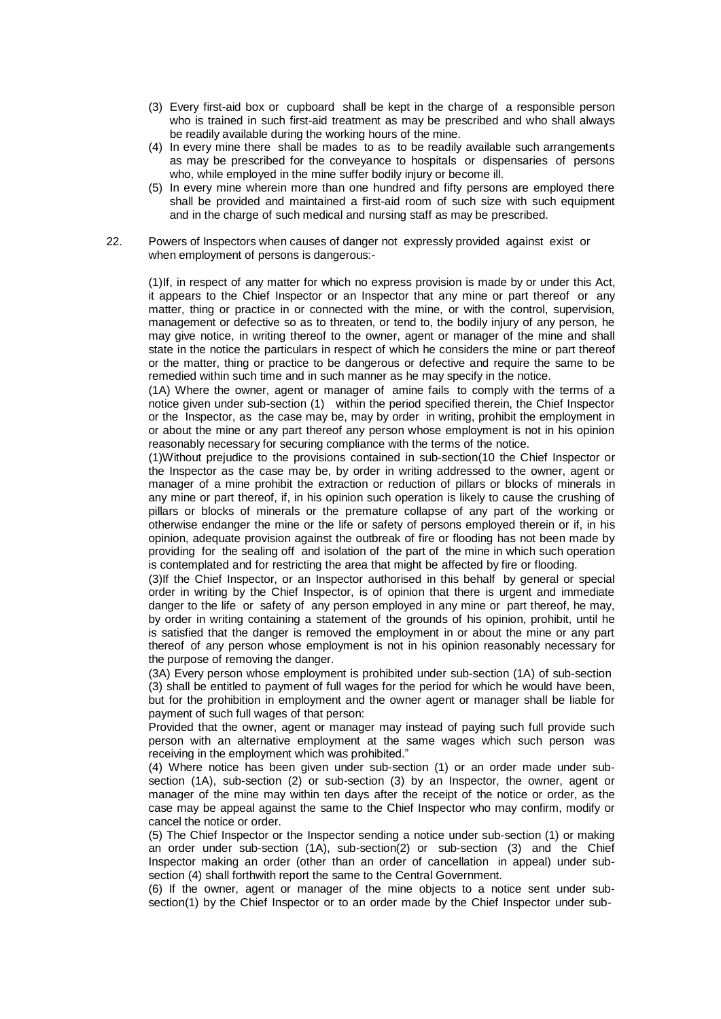- (3) Every first-aid box or cupboard shall be kept in the charge of a responsible person who is trained in such first-aid treatment as may be prescribed and who shall always be readily available during the working hours of the mine.
- (4) In every mine there shall be mades to as to be readily available such arrangements as may be prescribed for the conveyance to hospitals or dispensaries of persons who, while employed in the mine suffer bodily injury or become ill.
- (5) In every mine wherein more than one hundred and fifty persons are employed there shall be provided and maintained a first-aid room of such size with such equipment and in the charge of such medical and nursing staff as may be prescribed.
- 22. Powers of Inspectors when causes of danger not expressly provided against exist or when employment of persons is dangerous:-

(1)If, in respect of any matter for which no express provision is made by or under this Act, it appears to the Chief Inspector or an Inspector that any mine or part thereof or any matter, thing or practice in or connected with the mine, or with the control, supervision, management or defective so as to threaten, or tend to, the bodily injury of any person, he may give notice, in writing thereof to the owner, agent or manager of the mine and shall state in the notice the particulars in respect of which he considers the mine or part thereof or the matter, thing or practice to be dangerous or defective and require the same to be remedied within such time and in such manner as he may specify in the notice.

(1A) Where the owner, agent or manager of amine fails to comply with the terms of a notice given under sub-section (1) within the period specified therein, the Chief Inspector or the Inspector, as the case may be, may by order in writing, prohibit the employment in or about the mine or any part thereof any person whose employment is not in his opinion reasonably necessary for securing compliance with the terms of the notice.

(1)Without prejudice to the provisions contained in sub-section(10 the Chief Inspector or the Inspector as the case may be, by order in writing addressed to the owner, agent or manager of a mine prohibit the extraction or reduction of pillars or blocks of minerals in any mine or part thereof, if, in his opinion such operation is likely to cause the crushing of pillars or blocks of minerals or the premature collapse of any part of the working or otherwise endanger the mine or the life or safety of persons employed therein or if, in his opinion, adequate provision against the outbreak of fire or flooding has not been made by providing for the sealing off and isolation of the part of the mine in which such operation is contemplated and for restricting the area that might be affected by fire or flooding.

(3)If the Chief Inspector, or an Inspector authorised in this behalf by general or special order in writing by the Chief Inspector, is of opinion that there is urgent and immediate danger to the life or safety of any person employed in any mine or part thereof, he may, by order in writing containing a statement of the grounds of his opinion, prohibit, until he is satisfied that the danger is removed the employment in or about the mine or any part thereof of any person whose employment is not in his opinion reasonably necessary for the purpose of removing the danger.

(3A) Every person whose employment is prohibited under sub-section (1A) of sub-section (3) shall be entitled to payment of full wages for the period for which he would have been, but for the prohibition in employment and the owner agent or manager shall be liable for payment of such full wages of that person:

Provided that the owner, agent or manager may instead of paying such full provide such person with an alternative employment at the same wages which such person was receiving in the employment which was prohibited."

(4) Where notice has been given under sub-section (1) or an order made under subsection (1A), sub-section (2) or sub-section (3) by an Inspector, the owner, agent or manager of the mine may within ten days after the receipt of the notice or order, as the case may be appeal against the same to the Chief Inspector who may confirm, modify or cancel the notice or order.

(5) The Chief Inspector or the Inspector sending a notice under sub-section (1) or making an order under sub-section  $(1A)$ , sub-section $(2)$  or sub-section  $(3)$  and the Chief Inspector making an order (other than an order of cancellation in appeal) under subsection (4) shall forthwith report the same to the Central Government.

(6) If the owner, agent or manager of the mine objects to a notice sent under subsection(1) by the Chief Inspector or to an order made by the Chief Inspector under sub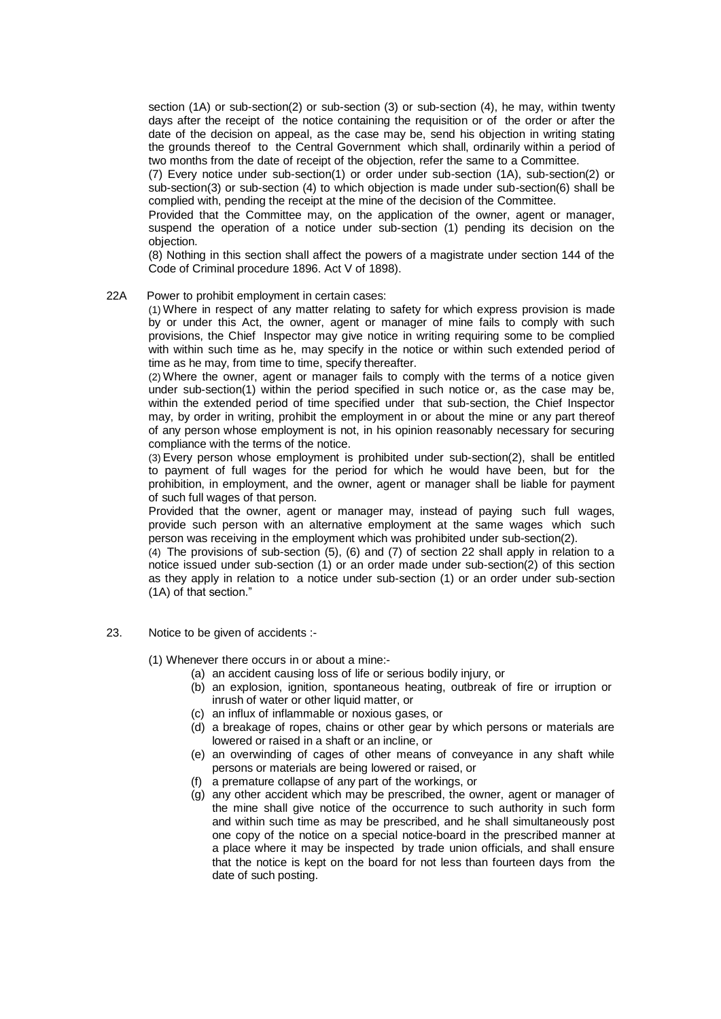section (1A) or sub-section(2) or sub-section (3) or sub-section (4), he may, within twenty days after the receipt of the notice containing the requisition or of the order or after the date of the decision on appeal, as the case may be, send his objection in writing stating the grounds thereof to the Central Government which shall, ordinarily within a period of two months from the date of receipt of the objection, refer the same to a Committee.

(7) Every notice under sub-section(1) or order under sub-section (1A), sub-section(2) or sub-section(3) or sub-section (4) to which objection is made under sub-section(6) shall be complied with, pending the receipt at the mine of the decision of the Committee.

Provided that the Committee may, on the application of the owner, agent or manager, suspend the operation of a notice under sub-section (1) pending its decision on the objection.

(8) Nothing in this section shall affect the powers of a magistrate under section 144 of the Code of Criminal procedure 1896. Act V of 1898).

#### 22A Power to prohibit employment in certain cases:

(1) Where in respect of any matter relating to safety for which express provision is made by or under this Act, the owner, agent or manager of mine fails to comply with such provisions, the Chief Inspector may give notice in writing requiring some to be complied with within such time as he, may specify in the notice or within such extended period of time as he may, from time to time, specify thereafter.

(2) Where the owner, agent or manager fails to comply with the terms of a notice given under sub-section(1) within the period specified in such notice or, as the case may be, within the extended period of time specified under that sub-section, the Chief Inspector may, by order in writing, prohibit the employment in or about the mine or any part thereof of any person whose employment is not, in his opinion reasonably necessary for securing compliance with the terms of the notice.

(3) Every person whose employment is prohibited under sub-section(2), shall be entitled to payment of full wages for the period for which he would have been, but for the prohibition, in employment, and the owner, agent or manager shall be liable for payment of such full wages of that person.

Provided that the owner, agent or manager may, instead of paying such full wages, provide such person with an alternative employment at the same wages which such person was receiving in the employment which was prohibited under sub-section(2).

(4) The provisions of sub-section (5), (6) and (7) of section 22 shall apply in relation to a notice issued under sub-section (1) or an order made under sub-section(2) of this section as they apply in relation to a notice under sub-section (1) or an order under sub-section (1A) of that section."

#### 23. Notice to be given of accidents :-

- (1) Whenever there occurs in or about a mine:-
	- (a) an accident causing loss of life or serious bodily injury, or
	- (b) an explosion, ignition, spontaneous heating, outbreak of fire or irruption or inrush of water or other liquid matter, or
	- (c) an influx of inflammable or noxious gases, or
	- (d) a breakage of ropes, chains or other gear by which persons or materials are lowered or raised in a shaft or an incline, or
	- (e) an overwinding of cages of other means of conveyance in any shaft while persons or materials are being lowered or raised, or
	- (f) a premature collapse of any part of the workings, or
	- (g) any other accident which may be prescribed, the owner, agent or manager of the mine shall give notice of the occurrence to such authority in such form and within such time as may be prescribed, and he shall simultaneously post one copy of the notice on a special notice-board in the prescribed manner at a place where it may be inspected by trade union officials, and shall ensure that the notice is kept on the board for not less than fourteen days from the date of such posting.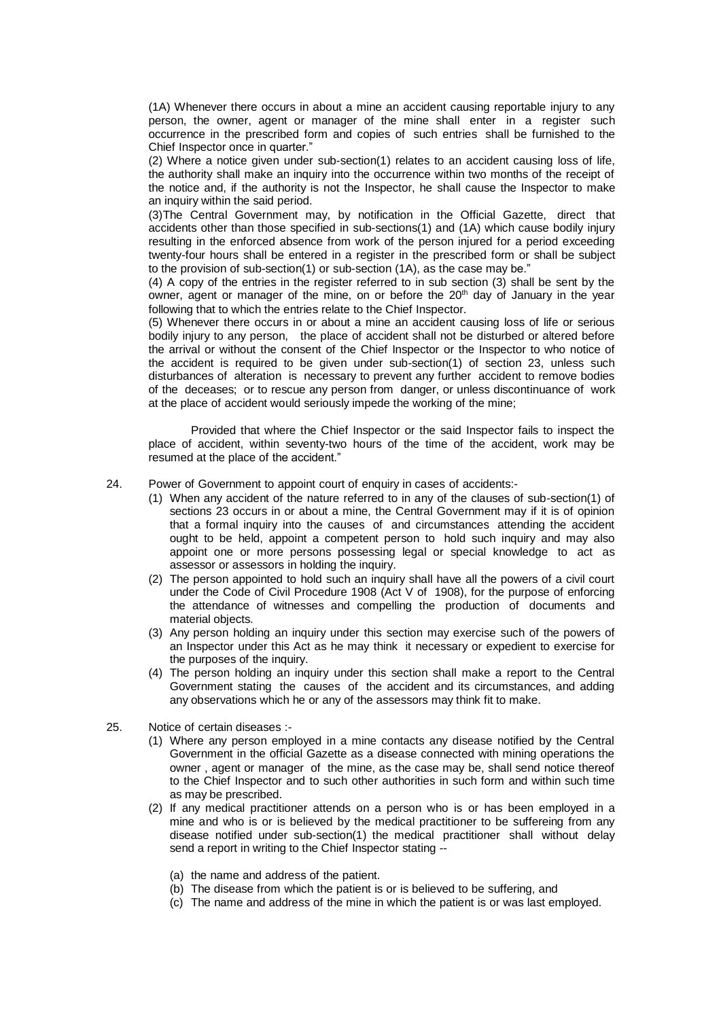(1A) Whenever there occurs in about a mine an accident causing reportable injury to any person, the owner, agent or manager of the mine shall enter in a register such occurrence in the prescribed form and copies of such entries shall be furnished to the Chief Inspector once in quarter."

(2) Where a notice given under sub-section(1) relates to an accident causing loss of life, the authority shall make an inquiry into the occurrence within two months of the receipt of the notice and, if the authority is not the Inspector, he shall cause the Inspector to make an inquiry within the said period.

(3)The Central Government may, by notification in the Official Gazette, direct that accidents other than those specified in sub-sections(1) and (1A) which cause bodily injury resulting in the enforced absence from work of the person injured for a period exceeding twenty-four hours shall be entered in a register in the prescribed form or shall be subject to the provision of sub-section(1) or sub-section (1A), as the case may be."

(4) A copy of the entries in the register referred to in sub section (3) shall be sent by the owner, agent or manager of the mine, on or before the  $20<sup>th</sup>$  day of January in the year following that to which the entries relate to the Chief Inspector.

(5) Whenever there occurs in or about a mine an accident causing loss of life or serious bodily injury to any person, the place of accident shall not be disturbed or altered before the arrival or without the consent of the Chief Inspector or the Inspector to who notice of the accident is required to be given under sub-section(1) of section 23, unless such disturbances of alteration is necessary to prevent any further accident to remove bodies of the deceases; or to rescue any person from danger, or unless discontinuance of work at the place of accident would seriously impede the working of the mine;

Provided that where the Chief Inspector or the said Inspector fails to inspect the place of accident, within seventy-two hours of the time of the accident, work may be resumed at the place of the accident."

- 24. Power of Government to appoint court of enquiry in cases of accidents:-
	- (1) When any accident of the nature referred to in any of the clauses of sub-section(1) of sections 23 occurs in or about a mine, the Central Government may if it is of opinion that a formal inquiry into the causes of and circumstances attending the accident ought to be held, appoint a competent person to hold such inquiry and may also appoint one or more persons possessing legal or special knowledge to act as assessor or assessors in holding the inquiry.
	- (2) The person appointed to hold such an inquiry shall have all the powers of a civil court under the Code of Civil Procedure 1908 (Act V of 1908), for the purpose of enforcing the attendance of witnesses and compelling the production of documents and material objects.
	- (3) Any person holding an inquiry under this section may exercise such of the powers of an Inspector under this Act as he may think it necessary or expedient to exercise for the purposes of the inquiry.
	- (4) The person holding an inquiry under this section shall make a report to the Central Government stating the causes of the accident and its circumstances, and adding any observations which he or any of the assessors may think fit to make.
- 25. Notice of certain diseases :-
	- (1) Where any person employed in a mine contacts any disease notified by the Central Government in the official Gazette as a disease connected with mining operations the owner , agent or manager of the mine, as the case may be, shall send notice thereof to the Chief Inspector and to such other authorities in such form and within such time as may be prescribed.
	- (2) If any medical practitioner attends on a person who is or has been employed in a mine and who is or is believed by the medical practitioner to be suffereing from any disease notified under sub-section(1) the medical practitioner shall without delay send a report in writing to the Chief Inspector stating --
		- (a) the name and address of the patient.
		- (b) The disease from which the patient is or is believed to be suffering, and
		- (c) The name and address of the mine in which the patient is or was last employed.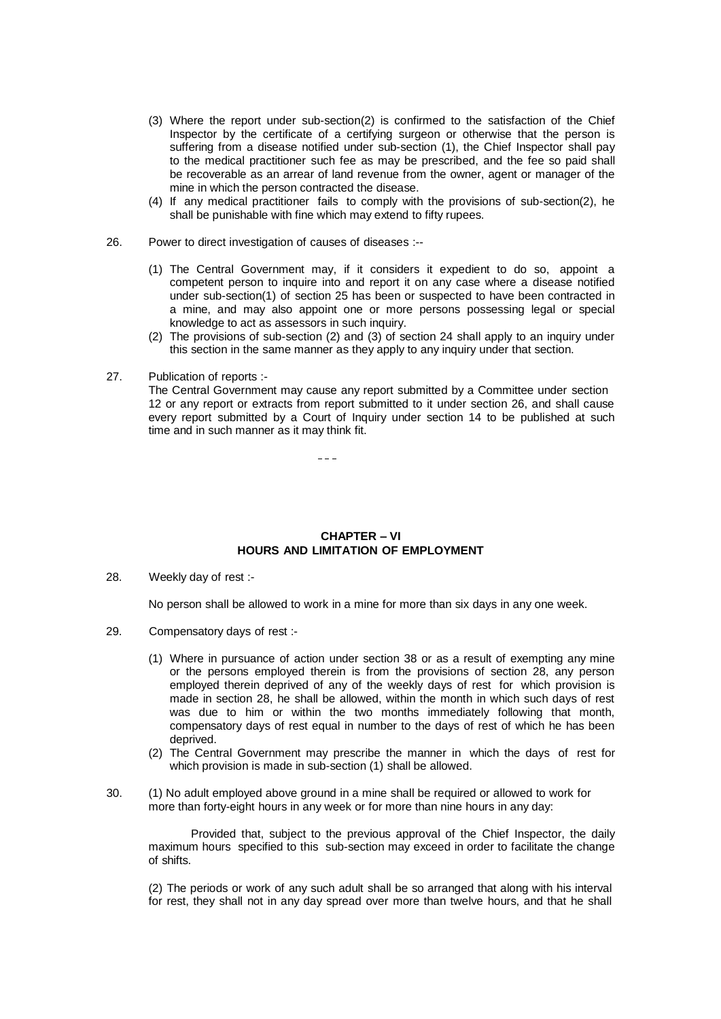- (3) Where the report under sub-section(2) is confirmed to the satisfaction of the Chief Inspector by the certificate of a certifying surgeon or otherwise that the person is suffering from a disease notified under sub-section (1), the Chief Inspector shall pay to the medical practitioner such fee as may be prescribed, and the fee so paid shall be recoverable as an arrear of land revenue from the owner, agent or manager of the mine in which the person contracted the disease.
- (4) If any medical practitioner fails to comply with the provisions of sub-section(2), he shall be punishable with fine which may extend to fifty rupees.
- 26. Power to direct investigation of causes of diseases :--
	- (1) The Central Government may, if it considers it expedient to do so, appoint a competent person to inquire into and report it on any case where a disease notified under sub-section(1) of section 25 has been or suspected to have been contracted in a mine, and may also appoint one or more persons possessing legal or special knowledge to act as assessors in such inquiry.
	- (2) The provisions of sub-section (2) and (3) of section 24 shall apply to an inquiry under this section in the same manner as they apply to any inquiry under that section.

#### 27. Publication of reports :-

The Central Government may cause any report submitted by a Committee under section 12 or any report or extracts from report submitted to it under section 26, and shall cause every report submitted by a Court of Inquiry under section 14 to be published at such time and in such manner as it may think fit.

 $- - -$ 

#### **CHAPTER – VI HOURS AND LIMITATION OF EMPLOYMENT**

28. Weekly day of rest :-

No person shall be allowed to work in a mine for more than six days in any one week.

- 29. Compensatory days of rest :-
	- (1) Where in pursuance of action under section 38 or as a result of exempting any mine or the persons employed therein is from the provisions of section 28, any person employed therein deprived of any of the weekly days of rest for which provision is made in section 28, he shall be allowed, within the month in which such days of rest was due to him or within the two months immediately following that month, compensatory days of rest equal in number to the days of rest of which he has been deprived.
	- (2) The Central Government may prescribe the manner in which the days of rest for which provision is made in sub-section (1) shall be allowed.
- 30. (1) No adult employed above ground in a mine shall be required or allowed to work for more than forty-eight hours in any week or for more than nine hours in any day:

Provided that, subject to the previous approval of the Chief Inspector, the daily maximum hours specified to this sub-section may exceed in order to facilitate the change of shifts.

(2) The periods or work of any such adult shall be so arranged that along with his interval for rest, they shall not in any day spread over more than twelve hours, and that he shall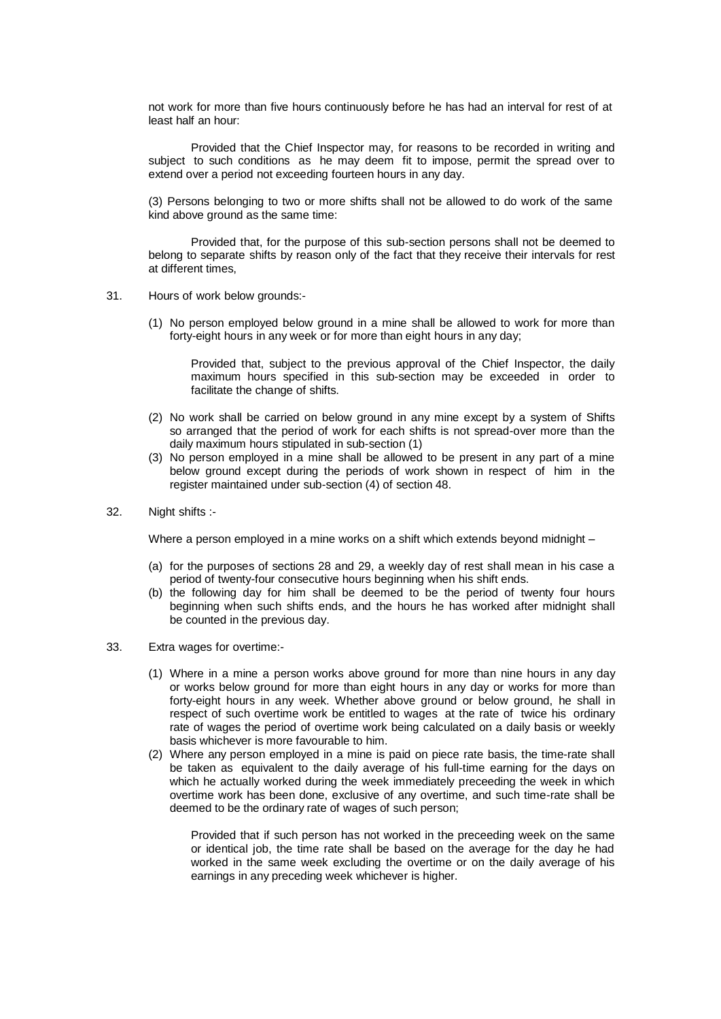not work for more than five hours continuously before he has had an interval for rest of at least half an hour:

Provided that the Chief Inspector may, for reasons to be recorded in writing and subject to such conditions as he may deem fit to impose, permit the spread over to extend over a period not exceeding fourteen hours in any day.

(3) Persons belonging to two or more shifts shall not be allowed to do work of the same kind above ground as the same time:

Provided that, for the purpose of this sub-section persons shall not be deemed to belong to separate shifts by reason only of the fact that they receive their intervals for rest at different times,

- 31. Hours of work below grounds:-
	- (1) No person employed below ground in a mine shall be allowed to work for more than forty-eight hours in any week or for more than eight hours in any day;

Provided that, subject to the previous approval of the Chief Inspector, the daily maximum hours specified in this sub-section may be exceeded in order to facilitate the change of shifts.

- (2) No work shall be carried on below ground in any mine except by a system of Shifts so arranged that the period of work for each shifts is not spread-over more than the daily maximum hours stipulated in sub-section (1)
- (3) No person employed in a mine shall be allowed to be present in any part of a mine below ground except during the periods of work shown in respect of him in the register maintained under sub-section (4) of section 48.
- 32. Night shifts :-

Where a person employed in a mine works on a shift which extends beyond midnight –

- (a) for the purposes of sections 28 and 29, a weekly day of rest shall mean in his case a period of twenty-four consecutive hours beginning when his shift ends.
- (b) the following day for him shall be deemed to be the period of twenty four hours beginning when such shifts ends, and the hours he has worked after midnight shall be counted in the previous day.
- 33. Extra wages for overtime:-
	- (1) Where in a mine a person works above ground for more than nine hours in any day or works below ground for more than eight hours in any day or works for more than forty-eight hours in any week. Whether above ground or below ground, he shall in respect of such overtime work be entitled to wages at the rate of twice his ordinary rate of wages the period of overtime work being calculated on a daily basis or weekly basis whichever is more favourable to him.
	- (2) Where any person employed in a mine is paid on piece rate basis, the time-rate shall be taken as equivalent to the daily average of his full-time earning for the days on which he actually worked during the week immediately preceeding the week in which overtime work has been done, exclusive of any overtime, and such time-rate shall be deemed to be the ordinary rate of wages of such person;

Provided that if such person has not worked in the preceeding week on the same or identical job, the time rate shall be based on the average for the day he had worked in the same week excluding the overtime or on the daily average of his earnings in any preceding week whichever is higher.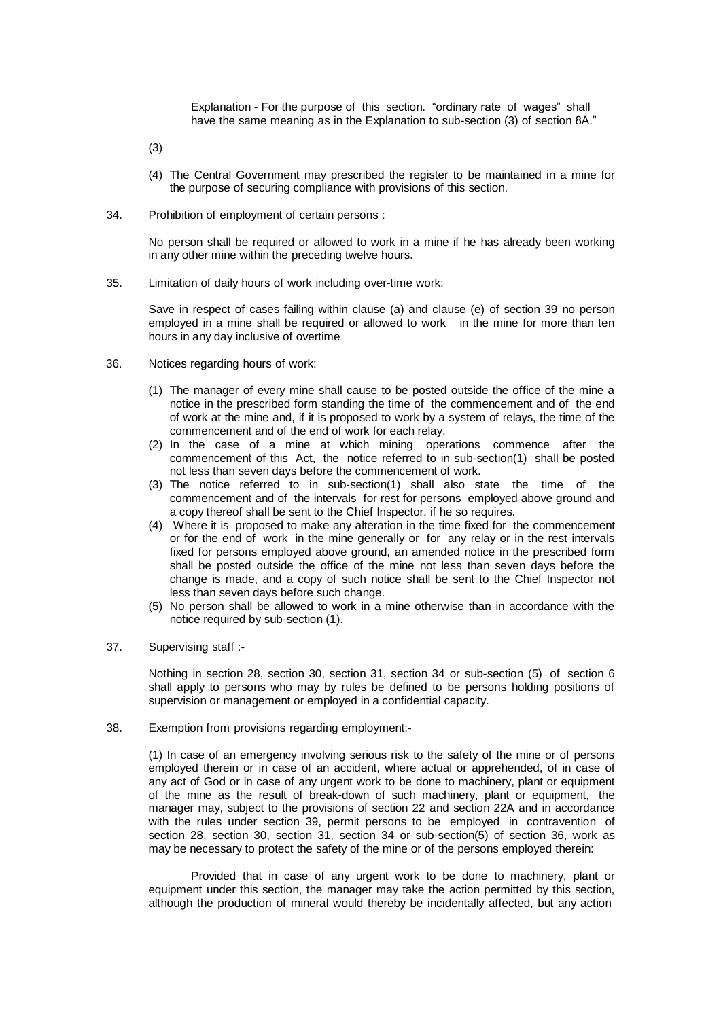Explanation - For the purpose of this section. "ordinary rate of wages" shall have the same meaning as in the Explanation to sub-section (3) of section 8A."

- (3)
- (4) The Central Government may prescribed the register to be maintained in a mine for the purpose of securing compliance with provisions of this section.
- 34. Prohibition of employment of certain persons :

No person shall be required or allowed to work in a mine if he has already been working in any other mine within the preceding twelve hours.

35. Limitation of daily hours of work including over-time work:

Save in respect of cases failing within clause (a) and clause (e) of section 39 no person employed in a mine shall be required or allowed to work in the mine for more than ten hours in any day inclusive of overtime

- 36. Notices regarding hours of work:
	- (1) The manager of every mine shall cause to be posted outside the office of the mine a notice in the prescribed form standing the time of the commencement and of the end of work at the mine and, if it is proposed to work by a system of relays, the time of the commencement and of the end of work for each relay.
	- (2) In the case of a mine at which mining operations commence after the commencement of this Act, the notice referred to in sub-section(1) shall be posted not less than seven days before the commencement of work.
	- (3) The notice referred to in sub-section(1) shall also state the time of the commencement and of the intervals for rest for persons employed above ground and a copy thereof shall be sent to the Chief Inspector, if he so requires.
	- (4) Where it is proposed to make any alteration in the time fixed for the commencement or for the end of work in the mine generally or for any relay or in the rest intervals fixed for persons employed above ground, an amended notice in the prescribed form shall be posted outside the office of the mine not less than seven days before the change is made, and a copy of such notice shall be sent to the Chief Inspector not less than seven days before such change.
	- (5) No person shall be allowed to work in a mine otherwise than in accordance with the notice required by sub-section (1).
- 37. Supervising staff :-

Nothing in section 28, section 30, section 31, section 34 or sub-section (5) of section 6 shall apply to persons who may by rules be defined to be persons holding positions of supervision or management or employed in a confidential capacity.

38. Exemption from provisions regarding employment:-

(1) In case of an emergency involving serious risk to the safety of the mine or of persons employed therein or in case of an accident, where actual or apprehended, of in case of any act of God or in case of any urgent work to be done to machinery, plant or equipment of the mine as the result of break-down of such machinery, plant or equipment, the manager may, subject to the provisions of section 22 and section 22A and in accordance with the rules under section 39, permit persons to be employed in contravention of section 28, section 30, section 31, section 34 or sub-section(5) of section 36, work as may be necessary to protect the safety of the mine or of the persons employed therein:

Provided that in case of any urgent work to be done to machinery, plant or equipment under this section, the manager may take the action permitted by this section, although the production of mineral would thereby be incidentally affected, but any action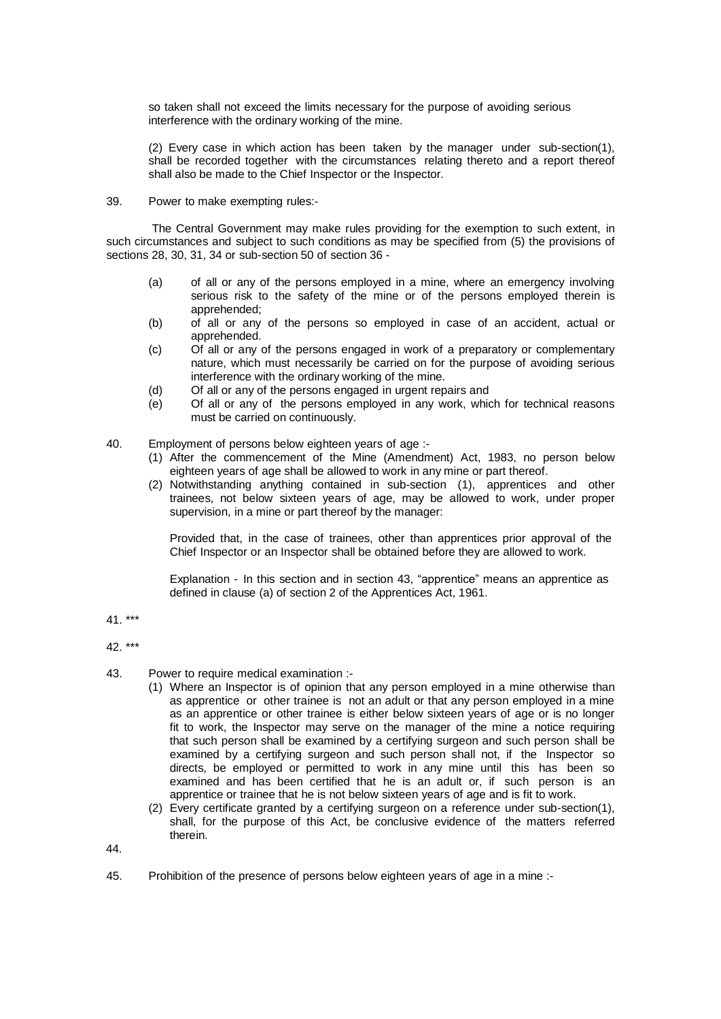so taken shall not exceed the limits necessary for the purpose of avoiding serious interference with the ordinary working of the mine.

(2) Every case in which action has been taken by the manager under sub-section(1), shall be recorded together with the circumstances relating thereto and a report thereof shall also be made to the Chief Inspector or the Inspector.

39. Power to make exempting rules:-

The Central Government may make rules providing for the exemption to such extent, in such circumstances and subject to such conditions as may be specified from (5) the provisions of sections 28, 30, 31, 34 or sub-section 50 of section 36 -

- (a) of all or any of the persons employed in a mine, where an emergency involving serious risk to the safety of the mine or of the persons employed therein is apprehended;
- (b) of all or any of the persons so employed in case of an accident, actual or apprehended.
- (c) Of all or any of the persons engaged in work of a preparatory or complementary nature, which must necessarily be carried on for the purpose of avoiding serious interference with the ordinary working of the mine.
- (d) Of all or any of the persons engaged in urgent repairs and
- (e) Of all or any of the persons employed in any work, which for technical reasons must be carried on continuously.
- 40. Employment of persons below eighteen years of age :-
	- (1) After the commencement of the Mine (Amendment) Act, 1983, no person below eighteen years of age shall be allowed to work in any mine or part thereof.
	- (2) Notwithstanding anything contained in sub-section (1), apprentices and other trainees, not below sixteen years of age, may be allowed to work, under proper supervision, in a mine or part thereof by the manager:

Provided that, in the case of trainees, other than apprentices prior approval of the Chief Inspector or an Inspector shall be obtained before they are allowed to work.

Explanation - In this section and in section 43, "apprentice" means an apprentice as defined in clause (a) of section 2 of the Apprentices Act, 1961.

```
42 ***
```
- 43. Power to require medical examination :-
	- (1) Where an Inspector is of opinion that any person employed in a mine otherwise than as apprentice or other trainee is not an adult or that any person employed in a mine as an apprentice or other trainee is either below sixteen years of age or is no longer fit to work, the Inspector may serve on the manager of the mine a notice requiring that such person shall be examined by a certifying surgeon and such person shall be examined by a certifying surgeon and such person shall not, if the Inspector so directs, be employed or permitted to work in any mine until this has been so examined and has been certified that he is an adult or, if such person is an apprentice or trainee that he is not below sixteen years of age and is fit to work.
	- (2) Every certificate granted by a certifying surgeon on a reference under sub-section(1), shall, for the purpose of this Act, be conclusive evidence of the matters referred therein.

44.

45. Prohibition of the presence of persons below eighteen years of age in a mine :-

<sup>41.</sup> \*\*\*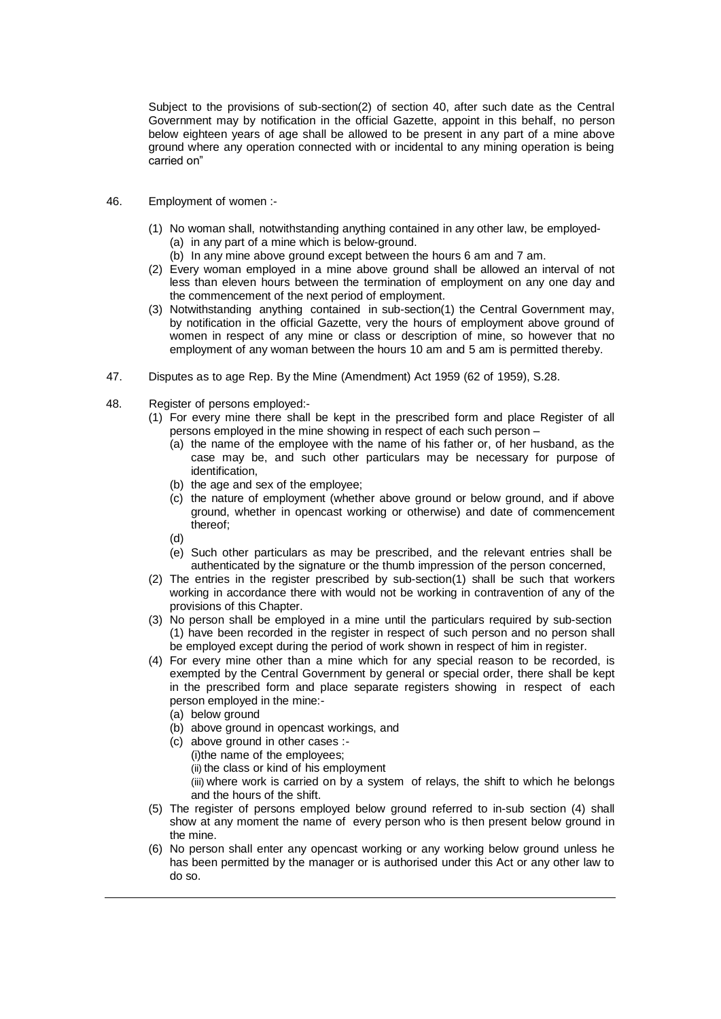Subject to the provisions of sub-section(2) of section 40, after such date as the Central Government may by notification in the official Gazette, appoint in this behalf, no person below eighteen years of age shall be allowed to be present in any part of a mine above ground where any operation connected with or incidental to any mining operation is being carried on"

- 46. Employment of women :-
	- (1) No woman shall, notwithstanding anything contained in any other law, be employed- (a) in any part of a mine which is below-ground.
		- (b) In any mine above ground except between the hours 6 am and 7 am.
	- (2) Every woman employed in a mine above ground shall be allowed an interval of not less than eleven hours between the termination of employment on any one day and the commencement of the next period of employment.
	- (3) Notwithstanding anything contained in sub-section(1) the Central Government may, by notification in the official Gazette, very the hours of employment above ground of women in respect of any mine or class or description of mine, so however that no employment of any woman between the hours 10 am and 5 am is permitted thereby.
- 47. Disputes as to age Rep. By the Mine (Amendment) Act 1959 (62 of 1959), S.28.
- 48. Register of persons employed:-
	- (1) For every mine there shall be kept in the prescribed form and place Register of all persons employed in the mine showing in respect of each such person –
		- (a) the name of the employee with the name of his father or, of her husband, as the case may be, and such other particulars may be necessary for purpose of identification,
		- (b) the age and sex of the employee;
		- (c) the nature of employment (whether above ground or below ground, and if above ground, whether in opencast working or otherwise) and date of commencement thereof;
		- (d)
		- (e) Such other particulars as may be prescribed, and the relevant entries shall be authenticated by the signature or the thumb impression of the person concerned,
	- (2) The entries in the register prescribed by sub-section(1) shall be such that workers working in accordance there with would not be working in contravention of any of the provisions of this Chapter.
	- (3) No person shall be employed in a mine until the particulars required by sub-section (1) have been recorded in the register in respect of such person and no person shall be employed except during the period of work shown in respect of him in register.
	- (4) For every mine other than a mine which for any special reason to be recorded, is exempted by the Central Government by general or special order, there shall be kept in the prescribed form and place separate registers showing in respect of each person employed in the mine:-
		- (a) below ground
		- (b) above ground in opencast workings, and
		- (c) above ground in other cases :-
			- (i)the name of the employees;
			- (ii) the class or kind of his employment
			- (iii) where work is carried on by a system of relays, the shift to which he belongs and the hours of the shift.
	- (5) The register of persons employed below ground referred to in-sub section (4) shall show at any moment the name of every person who is then present below ground in the mine.
	- (6) No person shall enter any opencast working or any working below ground unless he has been permitted by the manager or is authorised under this Act or any other law to do so.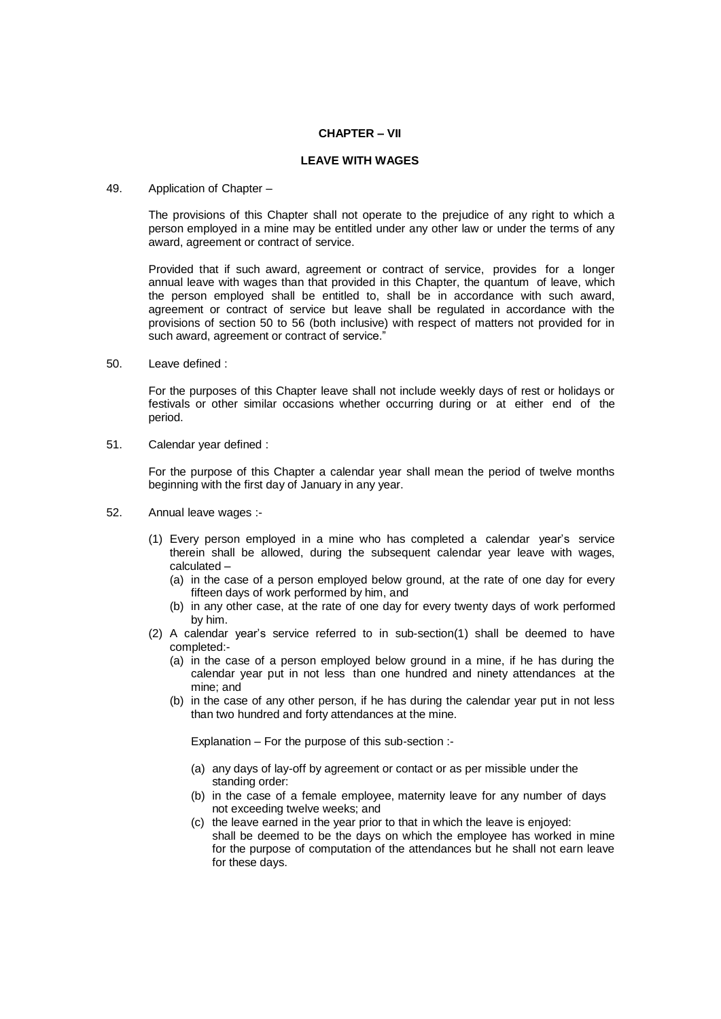#### **CHAPTER – VII**

## **LEAVE WITH WAGES**

#### 49. Application of Chapter –

The provisions of this Chapter shall not operate to the prejudice of any right to which a person employed in a mine may be entitled under any other law or under the terms of any award, agreement or contract of service.

Provided that if such award, agreement or contract of service, provides for a longer annual leave with wages than that provided in this Chapter, the quantum of leave, which the person employed shall be entitled to, shall be in accordance with such award, agreement or contract of service but leave shall be regulated in accordance with the provisions of section 50 to 56 (both inclusive) with respect of matters not provided for in such award, agreement or contract of service."

50. Leave defined :

For the purposes of this Chapter leave shall not include weekly days of rest or holidays or festivals or other similar occasions whether occurring during or at either end of the period.

51. Calendar year defined :

For the purpose of this Chapter a calendar year shall mean the period of twelve months beginning with the first day of January in any year.

- 52. Annual leave wages :-
	- (1) Every person employed in a mine who has completed a calendar year's service therein shall be allowed, during the subsequent calendar year leave with wages, calculated –
		- (a) in the case of a person employed below ground, at the rate of one day for every fifteen days of work performed by him, and
		- (b) in any other case, at the rate of one day for every twenty days of work performed by him.
	- (2) A calendar year's service referred to in sub-section(1) shall be deemed to have completed:-
		- (a) in the case of a person employed below ground in a mine, if he has during the calendar year put in not less than one hundred and ninety attendances at the mine; and
		- (b) in the case of any other person, if he has during the calendar year put in not less than two hundred and forty attendances at the mine.

Explanation – For the purpose of this sub-section :-

- (a) any days of lay-off by agreement or contact or as per missible under the standing order:
- (b) in the case of a female employee, maternity leave for any number of days not exceeding twelve weeks; and
- (c) the leave earned in the year prior to that in which the leave is enjoyed: shall be deemed to be the days on which the employee has worked in mine for the purpose of computation of the attendances but he shall not earn leave for these days.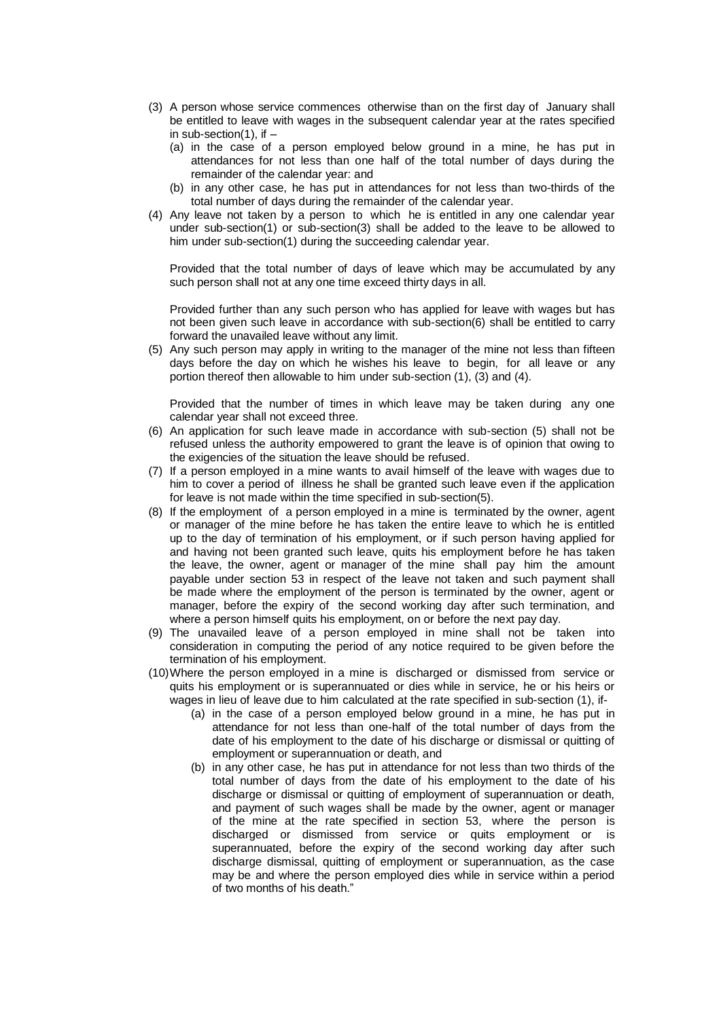- (3) A person whose service commences otherwise than on the first day of January shall be entitled to leave with wages in the subsequent calendar year at the rates specified in sub-section(1), if  $-$ 
	- (a) in the case of a person employed below ground in a mine, he has put in attendances for not less than one half of the total number of days during the remainder of the calendar year: and
	- (b) in any other case, he has put in attendances for not less than two-thirds of the total number of days during the remainder of the calendar year.
- (4) Any leave not taken by a person to which he is entitled in any one calendar year under sub-section(1) or sub-section(3) shall be added to the leave to be allowed to him under sub-section(1) during the succeeding calendar year.

Provided that the total number of days of leave which may be accumulated by any such person shall not at any one time exceed thirty days in all.

Provided further than any such person who has applied for leave with wages but has not been given such leave in accordance with sub-section(6) shall be entitled to carry forward the unavailed leave without any limit.

(5) Any such person may apply in writing to the manager of the mine not less than fifteen days before the day on which he wishes his leave to begin, for all leave or any portion thereof then allowable to him under sub-section (1), (3) and (4).

Provided that the number of times in which leave may be taken during any one calendar year shall not exceed three.

- (6) An application for such leave made in accordance with sub-section (5) shall not be refused unless the authority empowered to grant the leave is of opinion that owing to the exigencies of the situation the leave should be refused.
- (7) If a person employed in a mine wants to avail himself of the leave with wages due to him to cover a period of illness he shall be granted such leave even if the application for leave is not made within the time specified in sub-section(5).
- (8) If the employment of a person employed in a mine is terminated by the owner, agent or manager of the mine before he has taken the entire leave to which he is entitled up to the day of termination of his employment, or if such person having applied for and having not been granted such leave, quits his employment before he has taken the leave, the owner, agent or manager of the mine shall pay him the amount payable under section 53 in respect of the leave not taken and such payment shall be made where the employment of the person is terminated by the owner, agent or manager, before the expiry of the second working day after such termination, and where a person himself quits his employment, on or before the next pay day.
- (9) The unavailed leave of a person employed in mine shall not be taken into consideration in computing the period of any notice required to be given before the termination of his employment.
- (10)Where the person employed in a mine is discharged or dismissed from service or quits his employment or is superannuated or dies while in service, he or his heirs or wages in lieu of leave due to him calculated at the rate specified in sub-section (1), if-
	- (a) in the case of a person employed below ground in a mine, he has put in attendance for not less than one-half of the total number of days from the date of his employment to the date of his discharge or dismissal or quitting of employment or superannuation or death, and
	- (b) in any other case, he has put in attendance for not less than two thirds of the total number of days from the date of his employment to the date of his discharge or dismissal or quitting of employment of superannuation or death, and payment of such wages shall be made by the owner, agent or manager of the mine at the rate specified in section 53, where the person is discharged or dismissed from service or quits employment or is superannuated, before the expiry of the second working day after such discharge dismissal, quitting of employment or superannuation, as the case may be and where the person employed dies while in service within a period of two months of his death."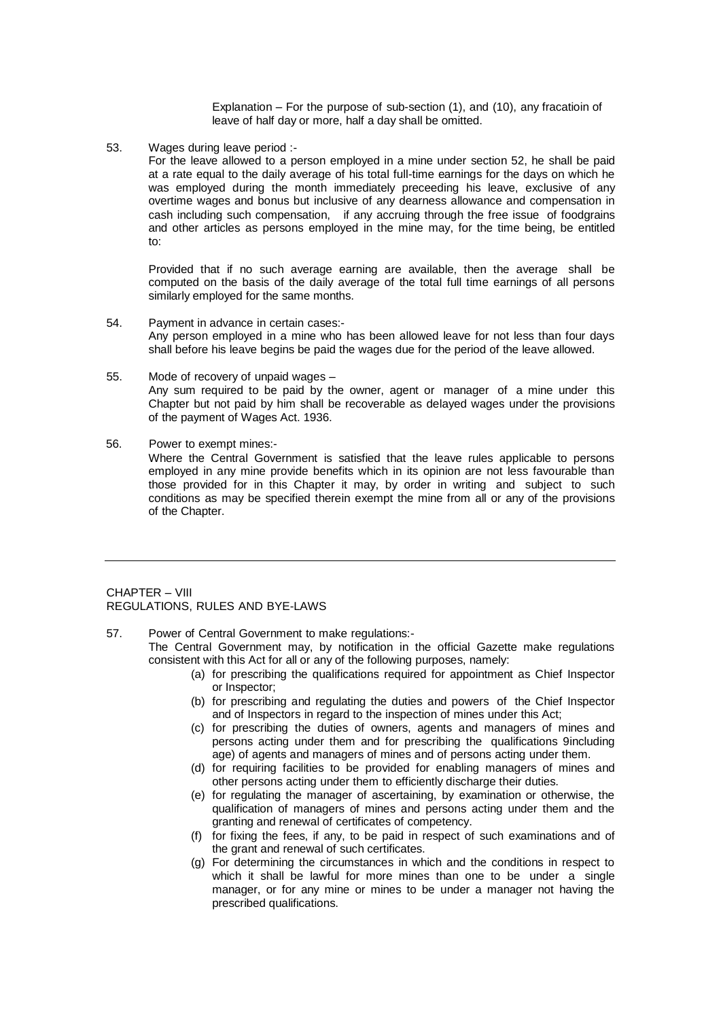Explanation – For the purpose of sub-section (1), and (10), any fracatioin of leave of half day or more, half a day shall be omitted.

53. Wages during leave period :-

For the leave allowed to a person employed in a mine under section 52, he shall be paid at a rate equal to the daily average of his total full-time earnings for the days on which he was employed during the month immediately preceeding his leave, exclusive of any overtime wages and bonus but inclusive of any dearness allowance and compensation in cash including such compensation, if any accruing through the free issue of foodgrains and other articles as persons employed in the mine may, for the time being, be entitled to:

Provided that if no such average earning are available, then the average shall be computed on the basis of the daily average of the total full time earnings of all persons similarly employed for the same months.

- 54. Payment in advance in certain cases:- Any person employed in a mine who has been allowed leave for not less than four days shall before his leave begins be paid the wages due for the period of the leave allowed.
- 55. Mode of recovery of unpaid wages Any sum required to be paid by the owner, agent or manager of a mine under this Chapter but not paid by him shall be recoverable as delayed wages under the provisions of the payment of Wages Act. 1936.
- 56. Power to exempt mines:-

Where the Central Government is satisfied that the leave rules applicable to persons employed in any mine provide benefits which in its opinion are not less favourable than those provided for in this Chapter it may, by order in writing and subject to such conditions as may be specified therein exempt the mine from all or any of the provisions of the Chapter.

CHAPTER – VIII REGULATIONS, RULES AND BYE-LAWS

- 57. Power of Central Government to make regulations:- The Central Government may, by notification in the official Gazette make regulations consistent with this Act for all or any of the following purposes, namely:
	- (a) for prescribing the qualifications required for appointment as Chief Inspector or Inspector;
	- (b) for prescribing and regulating the duties and powers of the Chief Inspector and of Inspectors in regard to the inspection of mines under this Act;
	- (c) for prescribing the duties of owners, agents and managers of mines and persons acting under them and for prescribing the qualifications 9including age) of agents and managers of mines and of persons acting under them.
	- (d) for requiring facilities to be provided for enabling managers of mines and other persons acting under them to efficiently discharge their duties.
	- (e) for regulating the manager of ascertaining, by examination or otherwise, the qualification of managers of mines and persons acting under them and the granting and renewal of certificates of competency.
	- (f) for fixing the fees, if any, to be paid in respect of such examinations and of the grant and renewal of such certificates.
	- (g) For determining the circumstances in which and the conditions in respect to which it shall be lawful for more mines than one to be under a single manager, or for any mine or mines to be under a manager not having the prescribed qualifications.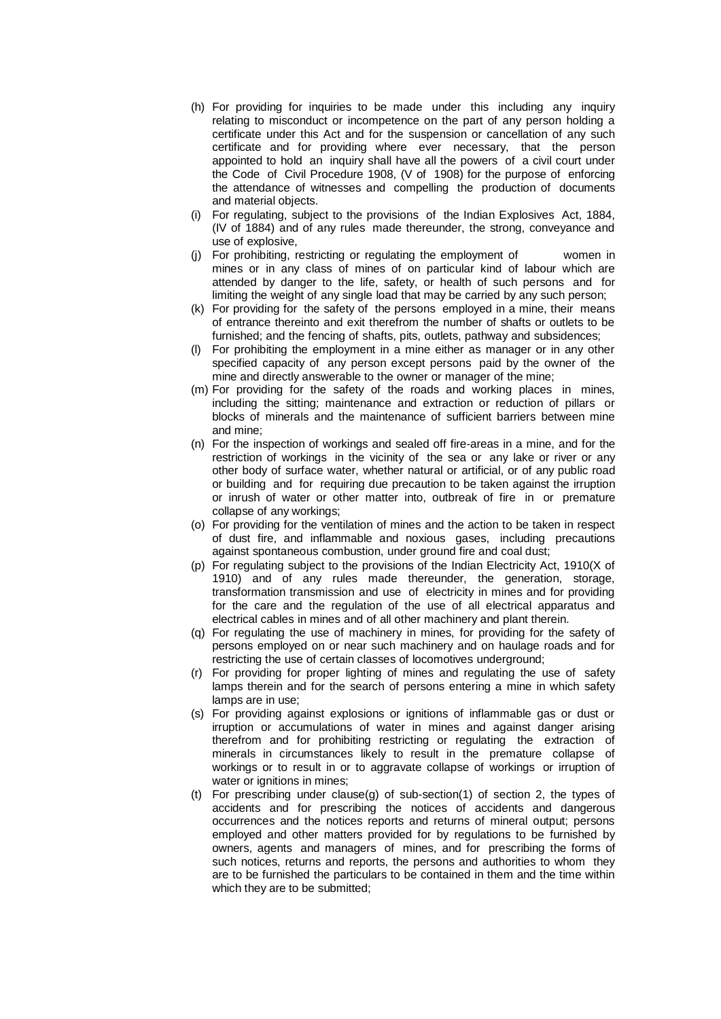- (h) For providing for inquiries to be made under this including any inquiry relating to misconduct or incompetence on the part of any person holding a certificate under this Act and for the suspension or cancellation of any such certificate and for providing where ever necessary, that the person appointed to hold an inquiry shall have all the powers of a civil court under the Code of Civil Procedure 1908, (V of 1908) for the purpose of enforcing the attendance of witnesses and compelling the production of documents and material objects.
- (i) For regulating, subject to the provisions of the Indian Explosives Act, 1884, (IV of 1884) and of any rules made thereunder, the strong, conveyance and use of explosive,
- (j) For prohibiting, restricting or regulating the employment of women in mines or in any class of mines of on particular kind of labour which are attended by danger to the life, safety, or health of such persons and for limiting the weight of any single load that may be carried by any such person;
- (k) For providing for the safety of the persons employed in a mine, their means of entrance thereinto and exit therefrom the number of shafts or outlets to be furnished; and the fencing of shafts, pits, outlets, pathway and subsidences;
- (l) For prohibiting the employment in a mine either as manager or in any other specified capacity of any person except persons paid by the owner of the mine and directly answerable to the owner or manager of the mine;
- (m) For providing for the safety of the roads and working places in mines, including the sitting; maintenance and extraction or reduction of pillars or blocks of minerals and the maintenance of sufficient barriers between mine and mine;
- (n) For the inspection of workings and sealed off fire-areas in a mine, and for the restriction of workings in the vicinity of the sea or any lake or river or any other body of surface water, whether natural or artificial, or of any public road or building and for requiring due precaution to be taken against the irruption or inrush of water or other matter into, outbreak of fire in or premature collapse of any workings;
- (o) For providing for the ventilation of mines and the action to be taken in respect of dust fire, and inflammable and noxious gases, including precautions against spontaneous combustion, under ground fire and coal dust;
- (p) For regulating subject to the provisions of the Indian Electricity Act, 1910(X of 1910) and of any rules made thereunder, the generation, storage, transformation transmission and use of electricity in mines and for providing for the care and the regulation of the use of all electrical apparatus and electrical cables in mines and of all other machinery and plant therein.
- (q) For regulating the use of machinery in mines, for providing for the safety of persons employed on or near such machinery and on haulage roads and for restricting the use of certain classes of locomotives underground;
- (r) For providing for proper lighting of mines and regulating the use of safety lamps therein and for the search of persons entering a mine in which safety lamps are in use;
- (s) For providing against explosions or ignitions of inflammable gas or dust or irruption or accumulations of water in mines and against danger arising therefrom and for prohibiting restricting or regulating the extraction of minerals in circumstances likely to result in the premature collapse of workings or to result in or to aggravate collapse of workings or irruption of water or ignitions in mines;
- (t) For prescribing under clause(g) of sub-section(1) of section 2, the types of accidents and for prescribing the notices of accidents and dangerous occurrences and the notices reports and returns of mineral output; persons employed and other matters provided for by regulations to be furnished by owners, agents and managers of mines, and for prescribing the forms of such notices, returns and reports, the persons and authorities to whom they are to be furnished the particulars to be contained in them and the time within which they are to be submitted;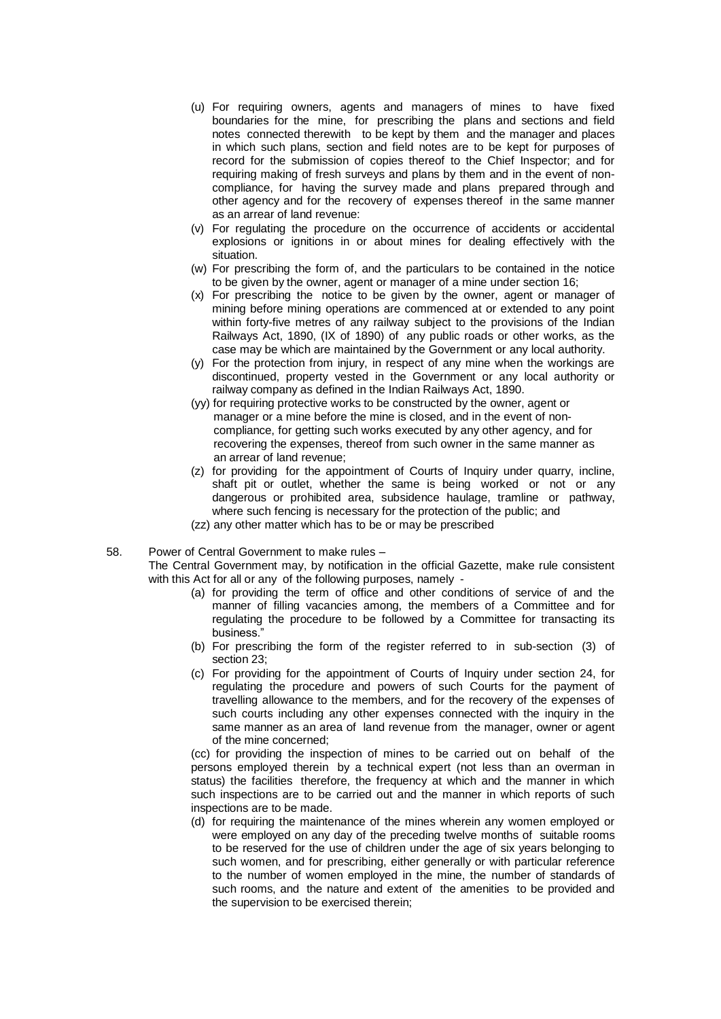- (u) For requiring owners, agents and managers of mines to have fixed boundaries for the mine, for prescribing the plans and sections and field notes connected therewith to be kept by them and the manager and places in which such plans, section and field notes are to be kept for purposes of record for the submission of copies thereof to the Chief Inspector; and for requiring making of fresh surveys and plans by them and in the event of noncompliance, for having the survey made and plans prepared through and other agency and for the recovery of expenses thereof in the same manner as an arrear of land revenue:
- (v) For regulating the procedure on the occurrence of accidents or accidental explosions or ignitions in or about mines for dealing effectively with the situation.
- (w) For prescribing the form of, and the particulars to be contained in the notice to be given by the owner, agent or manager of a mine under section 16;
- (x) For prescribing the notice to be given by the owner, agent or manager of mining before mining operations are commenced at or extended to any point within forty-five metres of any railway subject to the provisions of the Indian Railways Act, 1890, (IX of 1890) of any public roads or other works, as the case may be which are maintained by the Government or any local authority.
- (y) For the protection from injury, in respect of any mine when the workings are discontinued, property vested in the Government or any local authority or railway company as defined in the Indian Railways Act, 1890.
- (yy) for requiring protective works to be constructed by the owner, agent or manager or a mine before the mine is closed, and in the event of noncompliance, for getting such works executed by any other agency, and for recovering the expenses, thereof from such owner in the same manner as an arrear of land revenue;
- (z) for providing for the appointment of Courts of Inquiry under quarry, incline, shaft pit or outlet, whether the same is being worked or not or any dangerous or prohibited area, subsidence haulage, tramline or pathway, where such fencing is necessary for the protection of the public; and (zz) any other matter which has to be or may be prescribed

## 58. Power of Central Government to make rules –

The Central Government may, by notification in the official Gazette, make rule consistent with this Act for all or any of the following purposes, namely -

- (a) for providing the term of office and other conditions of service of and the manner of filling vacancies among, the members of a Committee and for regulating the procedure to be followed by a Committee for transacting its business."
- (b) For prescribing the form of the register referred to in sub-section (3) of section 23;
- (c) For providing for the appointment of Courts of Inquiry under section 24, for regulating the procedure and powers of such Courts for the payment of travelling allowance to the members, and for the recovery of the expenses of such courts including any other expenses connected with the inquiry in the same manner as an area of land revenue from the manager, owner or agent of the mine concerned;

(cc) for providing the inspection of mines to be carried out on behalf of the persons employed therein by a technical expert (not less than an overman in status) the facilities therefore, the frequency at which and the manner in which such inspections are to be carried out and the manner in which reports of such inspections are to be made.

(d) for requiring the maintenance of the mines wherein any women employed or were employed on any day of the preceding twelve months of suitable rooms to be reserved for the use of children under the age of six years belonging to such women, and for prescribing, either generally or with particular reference to the number of women employed in the mine, the number of standards of such rooms, and the nature and extent of the amenities to be provided and the supervision to be exercised therein;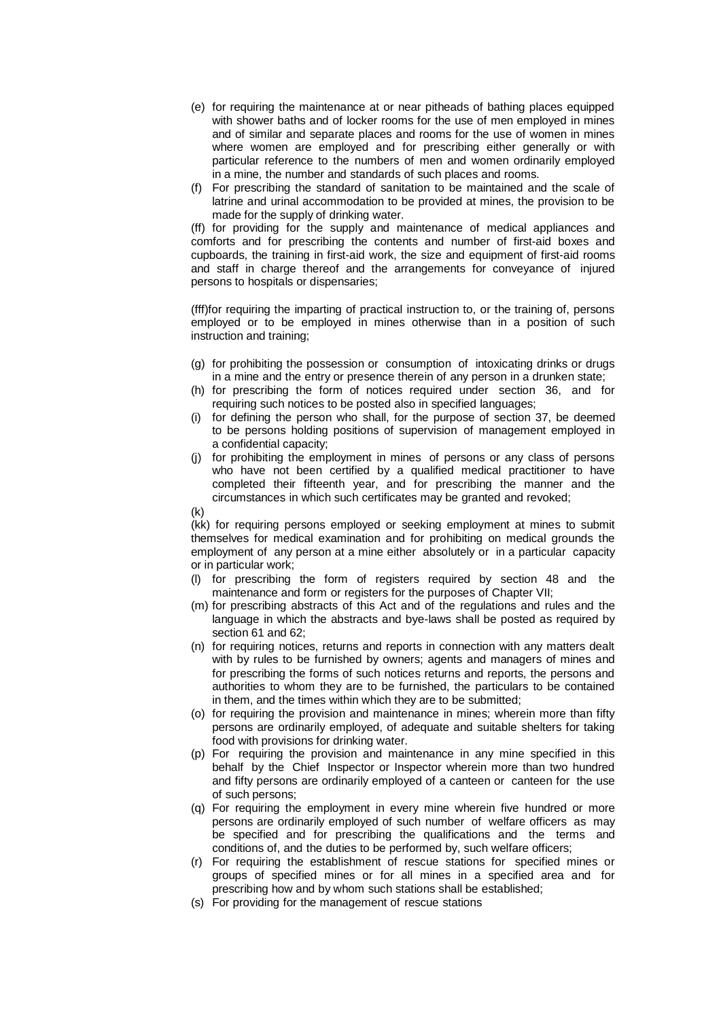- (e) for requiring the maintenance at or near pitheads of bathing places equipped with shower baths and of locker rooms for the use of men employed in mines and of similar and separate places and rooms for the use of women in mines where women are employed and for prescribing either generally or with particular reference to the numbers of men and women ordinarily employed in a mine, the number and standards of such places and rooms.
- (f) For prescribing the standard of sanitation to be maintained and the scale of latrine and urinal accommodation to be provided at mines, the provision to be made for the supply of drinking water.

(ff) for providing for the supply and maintenance of medical appliances and comforts and for prescribing the contents and number of first-aid boxes and cupboards, the training in first-aid work, the size and equipment of first-aid rooms and staff in charge thereof and the arrangements for conveyance of injured persons to hospitals or dispensaries;

(fff)for requiring the imparting of practical instruction to, or the training of, persons employed or to be employed in mines otherwise than in a position of such instruction and training;

- (g) for prohibiting the possession or consumption of intoxicating drinks or drugs in a mine and the entry or presence therein of any person in a drunken state;
- (h) for prescribing the form of notices required under section 36, and for requiring such notices to be posted also in specified languages;
- (i) for defining the person who shall, for the purpose of section 37, be deemed to be persons holding positions of supervision of management employed in a confidential capacity;
- (j) for prohibiting the employment in mines of persons or any class of persons who have not been certified by a qualified medical practitioner to have completed their fifteenth year, and for prescribing the manner and the circumstances in which such certificates may be granted and revoked;
- (k)

(kk) for requiring persons employed or seeking employment at mines to submit themselves for medical examination and for prohibiting on medical grounds the employment of any person at a mine either absolutely or in a particular capacity or in particular work;

- (l) for prescribing the form of registers required by section 48 and the maintenance and form or registers for the purposes of Chapter VII;
- (m) for prescribing abstracts of this Act and of the regulations and rules and the language in which the abstracts and bye-laws shall be posted as required by section 61 and 62:
- (n) for requiring notices, returns and reports in connection with any matters dealt with by rules to be furnished by owners; agents and managers of mines and for prescribing the forms of such notices returns and reports, the persons and authorities to whom they are to be furnished, the particulars to be contained in them, and the times within which they are to be submitted;
- (o) for requiring the provision and maintenance in mines; wherein more than fifty persons are ordinarily employed, of adequate and suitable shelters for taking food with provisions for drinking water.
- (p) For requiring the provision and maintenance in any mine specified in this behalf by the Chief Inspector or Inspector wherein more than two hundred and fifty persons are ordinarily employed of a canteen or canteen for the use of such persons;
- (q) For requiring the employment in every mine wherein five hundred or more persons are ordinarily employed of such number of welfare officers as may be specified and for prescribing the qualifications and the terms and conditions of, and the duties to be performed by, such welfare officers;
- (r) For requiring the establishment of rescue stations for specified mines or groups of specified mines or for all mines in a specified area and for prescribing how and by whom such stations shall be established;
- (s) For providing for the management of rescue stations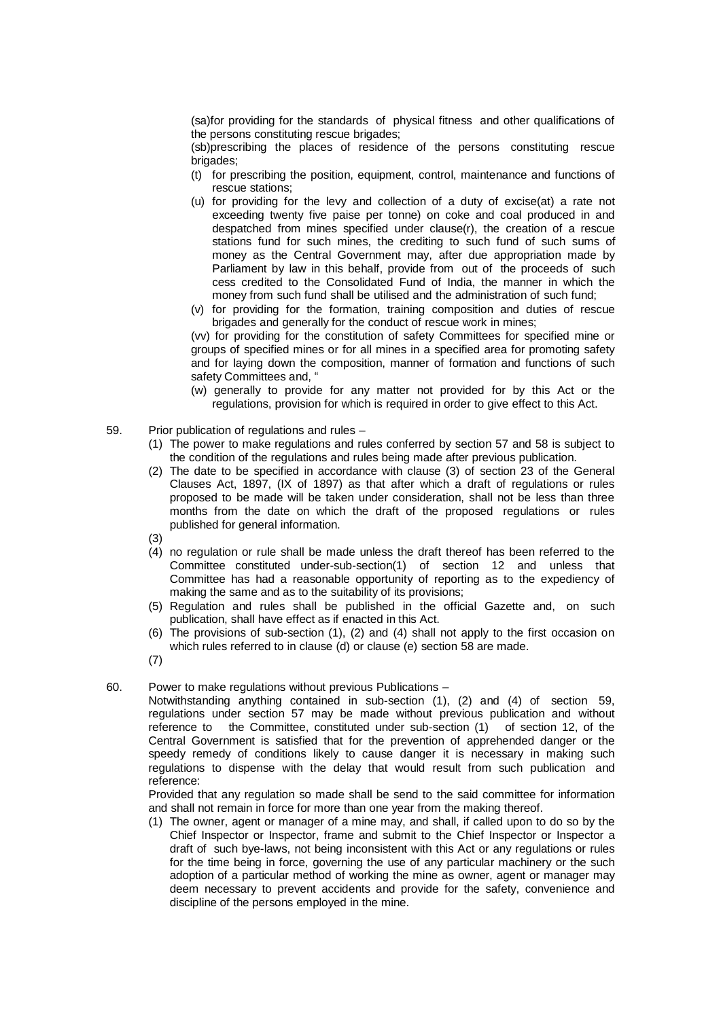(sa)for providing for the standards of physical fitness and other qualifications of the persons constituting rescue brigades;

(sb)prescribing the places of residence of the persons constituting rescue brigades;

- (t) for prescribing the position, equipment, control, maintenance and functions of rescue stations;
- (u) for providing for the levy and collection of a duty of excise(at) a rate not exceeding twenty five paise per tonne) on coke and coal produced in and despatched from mines specified under clause(r), the creation of a rescue stations fund for such mines, the crediting to such fund of such sums of money as the Central Government may, after due appropriation made by Parliament by law in this behalf, provide from out of the proceeds of such cess credited to the Consolidated Fund of India, the manner in which the money from such fund shall be utilised and the administration of such fund;
- (v) for providing for the formation, training composition and duties of rescue brigades and generally for the conduct of rescue work in mines;

(vv) for providing for the constitution of safety Committees for specified mine or groups of specified mines or for all mines in a specified area for promoting safety and for laying down the composition, manner of formation and functions of such safety Committees and. "

- (w) generally to provide for any matter not provided for by this Act or the regulations, provision for which is required in order to give effect to this Act.
- 59. Prior publication of regulations and rules
	- (1) The power to make regulations and rules conferred by section 57 and 58 is subject to the condition of the regulations and rules being made after previous publication.
	- (2) The date to be specified in accordance with clause (3) of section 23 of the General Clauses Act, 1897, (IX of 1897) as that after which a draft of regulations or rules proposed to be made will be taken under consideration, shall not be less than three months from the date on which the draft of the proposed regulations or rules published for general information.
	- (3)
	- (4) no regulation or rule shall be made unless the draft thereof has been referred to the Committee constituted under-sub-section(1) of section 12 and unless that Committee has had a reasonable opportunity of reporting as to the expediency of making the same and as to the suitability of its provisions;
	- (5) Regulation and rules shall be published in the official Gazette and, on such publication, shall have effect as if enacted in this Act.
	- (6) The provisions of sub-section (1), (2) and (4) shall not apply to the first occasion on which rules referred to in clause (d) or clause (e) section 58 are made.
	- (7)
- 60. Power to make regulations without previous Publications –

Notwithstanding anything contained in sub-section (1), (2) and (4) of section 59, regulations under section 57 may be made without previous publication and without reference to the Committee, constituted under sub-section (1) of section 12, of the Central Government is satisfied that for the prevention of apprehended danger or the speedy remedy of conditions likely to cause danger it is necessary in making such regulations to dispense with the delay that would result from such publication and reference:

Provided that any regulation so made shall be send to the said committee for information and shall not remain in force for more than one year from the making thereof.

(1) The owner, agent or manager of a mine may, and shall, if called upon to do so by the Chief Inspector or Inspector, frame and submit to the Chief Inspector or Inspector a draft of such bye-laws, not being inconsistent with this Act or any regulations or rules for the time being in force, governing the use of any particular machinery or the such adoption of a particular method of working the mine as owner, agent or manager may deem necessary to prevent accidents and provide for the safety, convenience and discipline of the persons employed in the mine.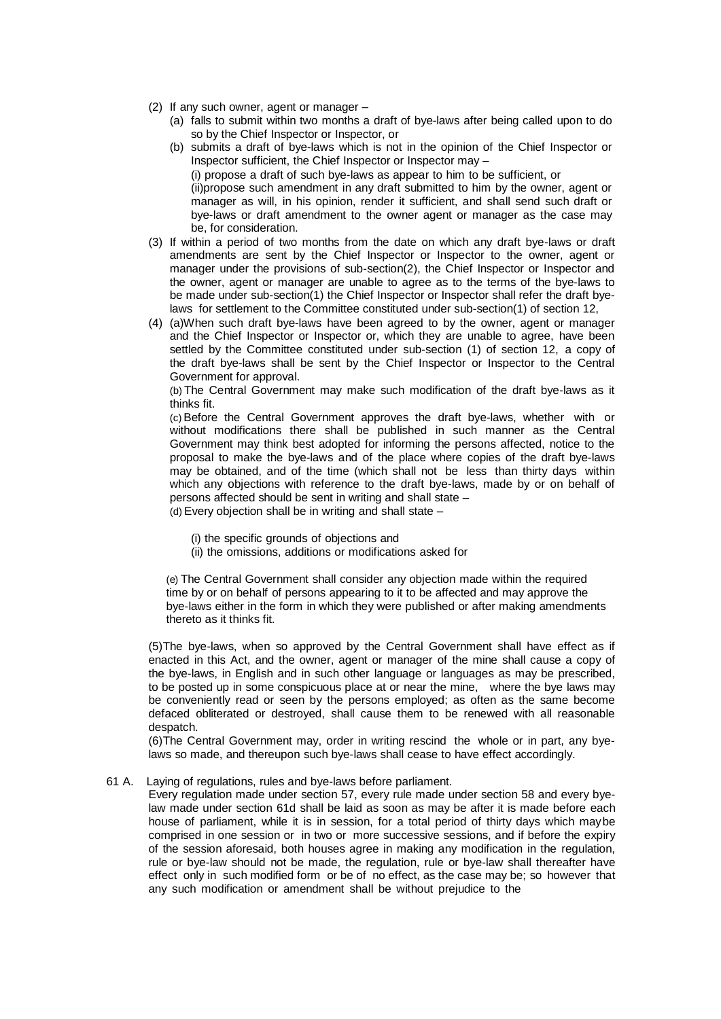- (2) If any such owner, agent or manager
	- (a) falls to submit within two months a draft of bye-laws after being called upon to do so by the Chief Inspector or Inspector, or
	- (b) submits a draft of bye-laws which is not in the opinion of the Chief Inspector or Inspector sufficient, the Chief Inspector or Inspector may – (i) propose a draft of such bye-laws as appear to him to be sufficient, or (ii)propose such amendment in any draft submitted to him by the owner, agent or manager as will, in his opinion, render it sufficient, and shall send such draft or bye-laws or draft amendment to the owner agent or manager as the case may be, for consideration.
- (3) If within a period of two months from the date on which any draft bye-laws or draft amendments are sent by the Chief Inspector or Inspector to the owner, agent or manager under the provisions of sub-section(2), the Chief Inspector or Inspector and the owner, agent or manager are unable to agree as to the terms of the bye-laws to be made under sub-section(1) the Chief Inspector or Inspector shall refer the draft byelaws for settlement to the Committee constituted under sub-section(1) of section 12,
- (4) (a)When such draft bye-laws have been agreed to by the owner, agent or manager and the Chief Inspector or Inspector or, which they are unable to agree, have been settled by the Committee constituted under sub-section (1) of section 12, a copy of the draft bye-laws shall be sent by the Chief Inspector or Inspector to the Central Government for approval.

(b) The Central Government may make such modification of the draft bye-laws as it thinks fit.

(c)Before the Central Government approves the draft bye-laws, whether with or without modifications there shall be published in such manner as the Central Government may think best adopted for informing the persons affected, notice to the proposal to make the bye-laws and of the place where copies of the draft bye-laws may be obtained, and of the time (which shall not be less than thirty days within which any objections with reference to the draft bye-laws, made by or on behalf of persons affected should be sent in writing and shall state –

(d) Every objection shall be in writing and shall state –

- (i) the specific grounds of objections and
- (ii) the omissions, additions or modifications asked for

(e) The Central Government shall consider any objection made within the required time by or on behalf of persons appearing to it to be affected and may approve the bye-laws either in the form in which they were published or after making amendments thereto as it thinks fit.

(5)The bye-laws, when so approved by the Central Government shall have effect as if enacted in this Act, and the owner, agent or manager of the mine shall cause a copy of the bye-laws, in English and in such other language or languages as may be prescribed, to be posted up in some conspicuous place at or near the mine, where the bye laws may be conveniently read or seen by the persons employed; as often as the same become defaced obliterated or destroyed, shall cause them to be renewed with all reasonable despatch.

(6)The Central Government may, order in writing rescind the whole or in part, any byelaws so made, and thereupon such bye-laws shall cease to have effect accordingly.

#### 61 A. Laying of regulations, rules and bye-laws before parliament.

Every regulation made under section 57, every rule made under section 58 and every byelaw made under section 61d shall be laid as soon as may be after it is made before each house of parliament, while it is in session, for a total period of thirty days which maybe comprised in one session or in two or more successive sessions, and if before the expiry of the session aforesaid, both houses agree in making any modification in the regulation, rule or bye-law should not be made, the regulation, rule or bye-law shall thereafter have effect only in such modified form or be of no effect, as the case may be; so however that any such modification or amendment shall be without prejudice to the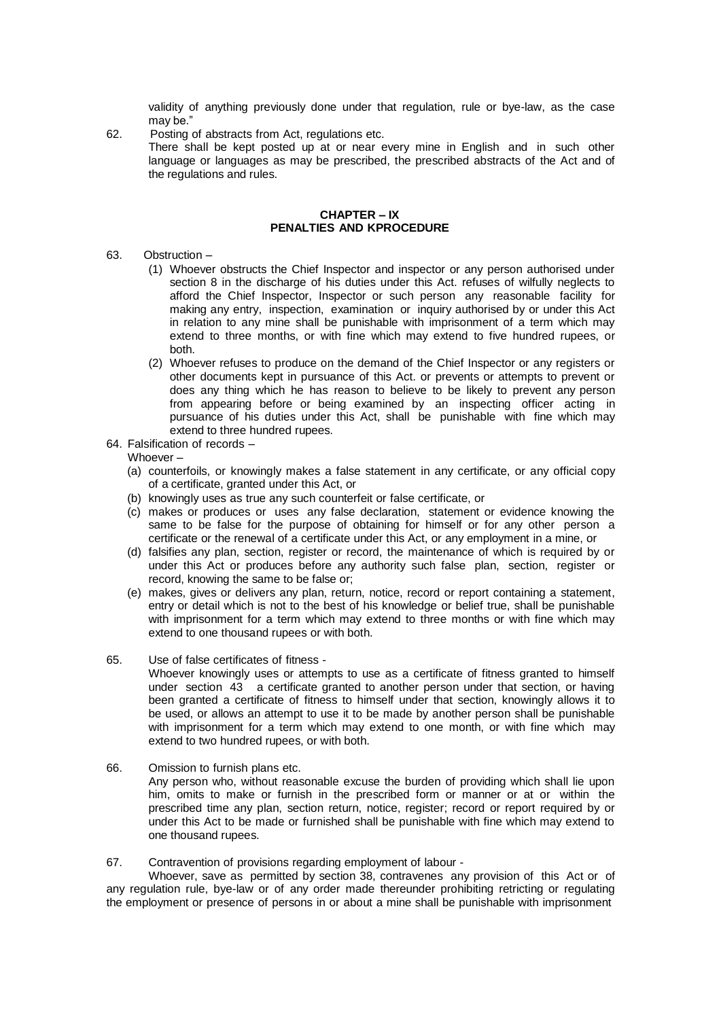validity of anything previously done under that regulation, rule or bye-law, as the case may be."

- 62. Posting of abstracts from Act, regulations etc.
	- There shall be kept posted up at or near every mine in English and in such other language or languages as may be prescribed, the prescribed abstracts of the Act and of the regulations and rules.

#### **CHAPTER – IX PENALTIES AND KPROCEDURE**

- 63. Obstruction
	- (1) Whoever obstructs the Chief Inspector and inspector or any person authorised under section 8 in the discharge of his duties under this Act. refuses of wilfully neglects to afford the Chief Inspector, Inspector or such person any reasonable facility for making any entry, inspection, examination or inquiry authorised by or under this Act in relation to any mine shall be punishable with imprisonment of a term which may extend to three months, or with fine which may extend to five hundred rupees, or both.
	- (2) Whoever refuses to produce on the demand of the Chief Inspector or any registers or other documents kept in pursuance of this Act. or prevents or attempts to prevent or does any thing which he has reason to believe to be likely to prevent any person from appearing before or being examined by an inspecting officer acting in pursuance of his duties under this Act, shall be punishable with fine which may extend to three hundred rupees.
- 64. Falsification of records –

Whoever –

- (a) counterfoils, or knowingly makes a false statement in any certificate, or any official copy of a certificate, granted under this Act, or
- (b) knowingly uses as true any such counterfeit or false certificate, or
- (c) makes or produces or uses any false declaration, statement or evidence knowing the same to be false for the purpose of obtaining for himself or for any other person a certificate or the renewal of a certificate under this Act, or any employment in a mine, or
- (d) falsifies any plan, section, register or record, the maintenance of which is required by or under this Act or produces before any authority such false plan, section, register or record, knowing the same to be false or;
- (e) makes, gives or delivers any plan, return, notice, record or report containing a statement, entry or detail which is not to the best of his knowledge or belief true, shall be punishable with imprisonment for a term which may extend to three months or with fine which may extend to one thousand rupees or with both.
- 65. Use of false certificates of fitness Whoever knowingly uses or attempts to use as a certificate of fitness granted to himself under section 43 a certificate granted to another person under that section, or having been granted a certificate of fitness to himself under that section, knowingly allows it to be used, or allows an attempt to use it to be made by another person shall be punishable with imprisonment for a term which may extend to one month, or with fine which may extend to two hundred rupees, or with both.
- 66. Omission to furnish plans etc. Any person who, without reasonable excuse the burden of providing which shall lie upon him, omits to make or furnish in the prescribed form or manner or at or within the prescribed time any plan, section return, notice, register; record or report required by or under this Act to be made or furnished shall be punishable with fine which may extend to one thousand rupees.

67. Contravention of provisions regarding employment of labour -

Whoever, save as permitted by section 38, contravenes any provision of this Act or of any regulation rule, bye-law or of any order made thereunder prohibiting retricting or regulating the employment or presence of persons in or about a mine shall be punishable with imprisonment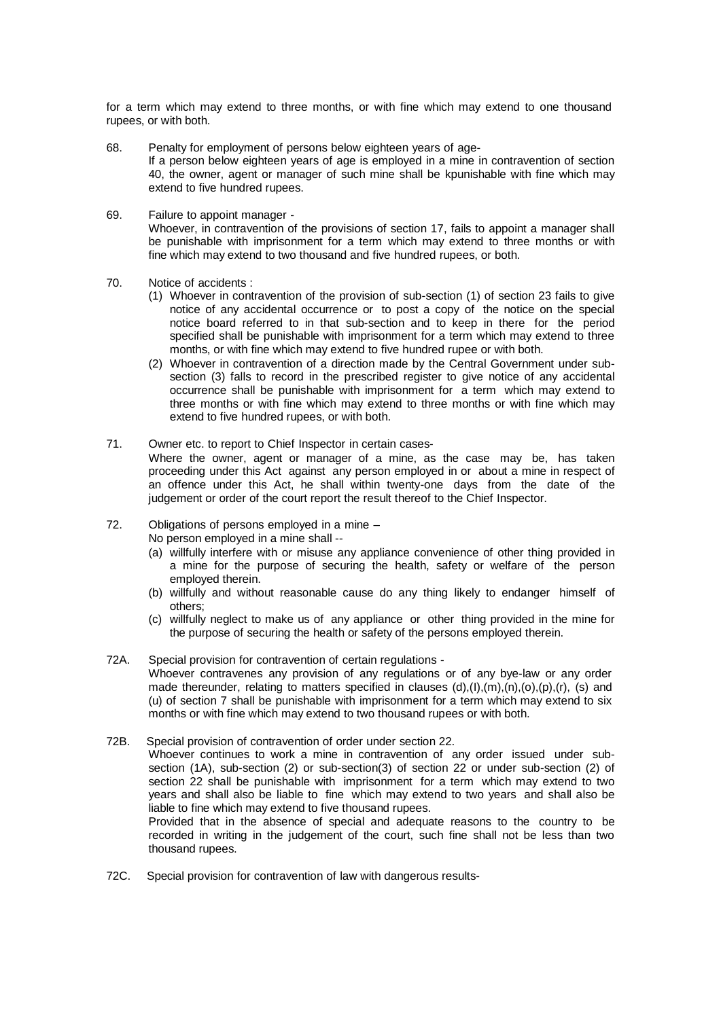for a term which may extend to three months, or with fine which may extend to one thousand rupees, or with both.

- 68. Penalty for employment of persons below eighteen years of age-If a person below eighteen years of age is employed in a mine in contravention of section 40, the owner, agent or manager of such mine shall be kpunishable with fine which may extend to five hundred rupees.
- 69. Failure to appoint manager Whoever, in contravention of the provisions of section 17, fails to appoint a manager shall be punishable with imprisonment for a term which may extend to three months or with fine which may extend to two thousand and five hundred rupees, or both.
- 70. Notice of accidents :
	- (1) Whoever in contravention of the provision of sub-section (1) of section 23 fails to give notice of any accidental occurrence or to post a copy of the notice on the special notice board referred to in that sub-section and to keep in there for the period specified shall be punishable with imprisonment for a term which may extend to three months, or with fine which may extend to five hundred rupee or with both.
	- (2) Whoever in contravention of a direction made by the Central Government under subsection (3) falls to record in the prescribed register to give notice of any accidental occurrence shall be punishable with imprisonment for a term which may extend to three months or with fine which may extend to three months or with fine which may extend to five hundred rupees, or with both.
- 71. Owner etc. to report to Chief Inspector in certain cases-Where the owner, agent or manager of a mine, as the case may be, has taken proceeding under this Act against any person employed in or about a mine in respect of an offence under this Act, he shall within twenty-one days from the date of the judgement or order of the court report the result thereof to the Chief Inspector.
- 72. Obligations of persons employed in a mine –

No person employed in a mine shall --

- (a) willfully interfere with or misuse any appliance convenience of other thing provided in a mine for the purpose of securing the health, safety or welfare of the person employed therein.
- (b) willfully and without reasonable cause do any thing likely to endanger himself of others;
- (c) willfully neglect to make us of any appliance or other thing provided in the mine for the purpose of securing the health or safety of the persons employed therein.
- 72A. Special provision for contravention of certain regulations Whoever contravenes any provision of any regulations or of any bye-law or any order made thereunder, relating to matters specified in clauses (d),(l),(m),(n),(o),(p),(r), (s) and (u) of section 7 shall be punishable with imprisonment for a term which may extend to six months or with fine which may extend to two thousand rupees or with both.
- 72B. Special provision of contravention of order under section 22.

Whoever continues to work a mine in contravention of any order issued under subsection (1A), sub-section (2) or sub-section(3) of section 22 or under sub-section (2) of section 22 shall be punishable with imprisonment for a term which may extend to two years and shall also be liable to fine which may extend to two years and shall also be liable to fine which may extend to five thousand rupees.

Provided that in the absence of special and adequate reasons to the country to be recorded in writing in the judgement of the court, such fine shall not be less than two thousand rupees.

72C. Special provision for contravention of law with dangerous results-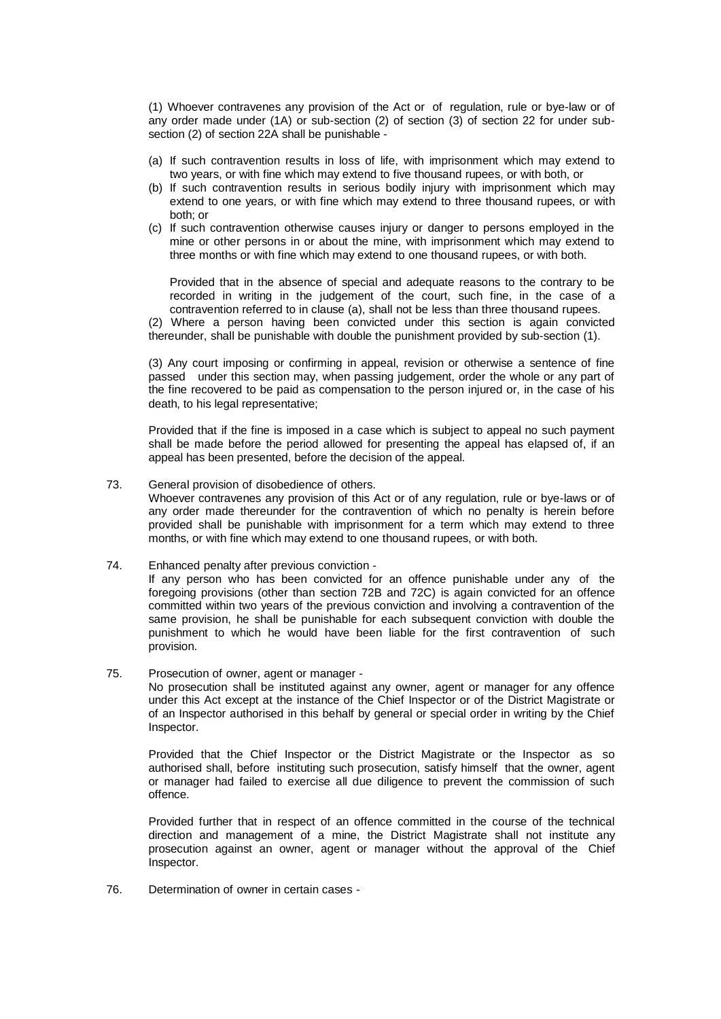(1) Whoever contravenes any provision of the Act or of regulation, rule or bye-law or of any order made under (1A) or sub-section (2) of section (3) of section 22 for under subsection (2) of section 22A shall be punishable -

- (a) If such contravention results in loss of life, with imprisonment which may extend to two years, or with fine which may extend to five thousand rupees, or with both, or
- (b) If such contravention results in serious bodily injury with imprisonment which may extend to one years, or with fine which may extend to three thousand rupees, or with both; or
- (c) If such contravention otherwise causes injury or danger to persons employed in the mine or other persons in or about the mine, with imprisonment which may extend to three months or with fine which may extend to one thousand rupees, or with both.

Provided that in the absence of special and adequate reasons to the contrary to be recorded in writing in the judgement of the court, such fine, in the case of a contravention referred to in clause (a), shall not be less than three thousand rupees. (2) Where a person having been convicted under this section is again convicted

thereunder, shall be punishable with double the punishment provided by sub-section (1).

(3) Any court imposing or confirming in appeal, revision or otherwise a sentence of fine passed under this section may, when passing judgement, order the whole or any part of the fine recovered to be paid as compensation to the person injured or, in the case of his death, to his legal representative;

Provided that if the fine is imposed in a case which is subject to appeal no such payment shall be made before the period allowed for presenting the appeal has elapsed of, if an appeal has been presented, before the decision of the appeal.

73. General provision of disobedience of others. Whoever contravenes any provision of this Act or of any regulation, rule or bye-laws or of any order made thereunder for the contravention of which no penalty is herein before provided shall be punishable with imprisonment for a term which may extend to three months, or with fine which may extend to one thousand rupees, or with both.

## 74. Enhanced penalty after previous conviction -

If any person who has been convicted for an offence punishable under any of the foregoing provisions (other than section 72B and 72C) is again convicted for an offence committed within two years of the previous conviction and involving a contravention of the same provision, he shall be punishable for each subsequent conviction with double the punishment to which he would have been liable for the first contravention of such provision.

#### 75. Prosecution of owner, agent or manager -

No prosecution shall be instituted against any owner, agent or manager for any offence under this Act except at the instance of the Chief Inspector or of the District Magistrate or of an Inspector authorised in this behalf by general or special order in writing by the Chief Inspector.

Provided that the Chief Inspector or the District Magistrate or the Inspector as so authorised shall, before instituting such prosecution, satisfy himself that the owner, agent or manager had failed to exercise all due diligence to prevent the commission of such offence.

Provided further that in respect of an offence committed in the course of the technical direction and management of a mine, the District Magistrate shall not institute any prosecution against an owner, agent or manager without the approval of the Chief Inspector.

76. Determination of owner in certain cases -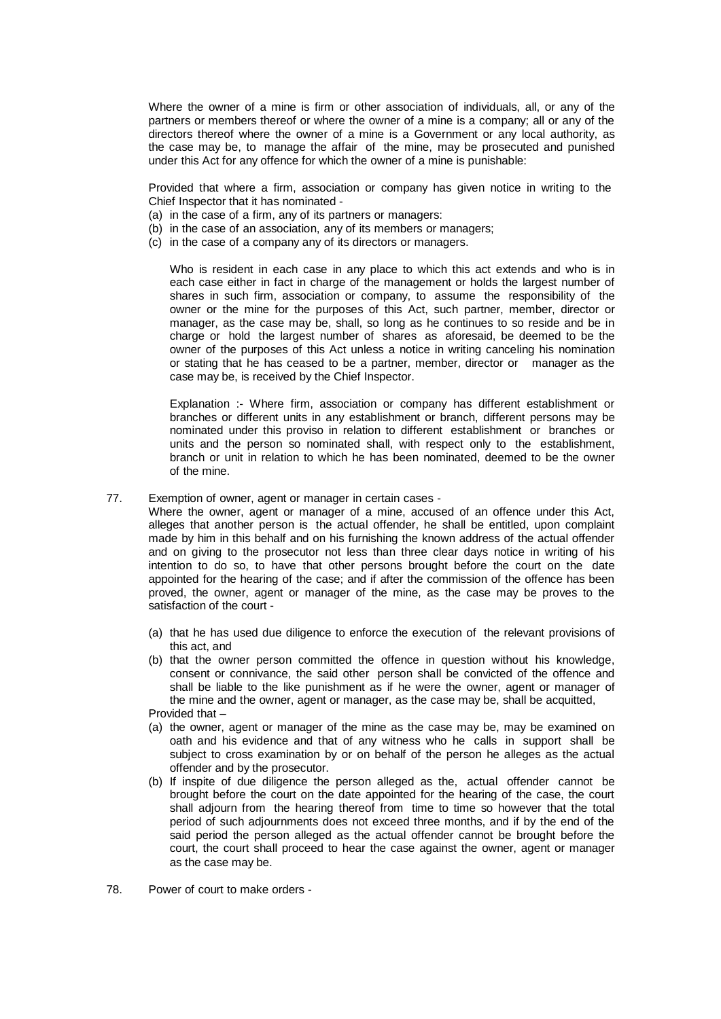Where the owner of a mine is firm or other association of individuals, all, or any of the partners or members thereof or where the owner of a mine is a company; all or any of the directors thereof where the owner of a mine is a Government or any local authority, as the case may be, to manage the affair of the mine, may be prosecuted and punished under this Act for any offence for which the owner of a mine is punishable:

Provided that where a firm, association or company has given notice in writing to the Chief Inspector that it has nominated -

- (a) in the case of a firm, any of its partners or managers:
- (b) in the case of an association, any of its members or managers;
- (c) in the case of a company any of its directors or managers.

Who is resident in each case in any place to which this act extends and who is in each case either in fact in charge of the management or holds the largest number of shares in such firm, association or company, to assume the responsibility of the owner or the mine for the purposes of this Act, such partner, member, director or manager, as the case may be, shall, so long as he continues to so reside and be in charge or hold the largest number of shares as aforesaid, be deemed to be the owner of the purposes of this Act unless a notice in writing canceling his nomination or stating that he has ceased to be a partner, member, director or manager as the case may be, is received by the Chief Inspector.

Explanation :- Where firm, association or company has different establishment or branches or different units in any establishment or branch, different persons may be nominated under this proviso in relation to different establishment or branches or units and the person so nominated shall, with respect only to the establishment, branch or unit in relation to which he has been nominated, deemed to be the owner of the mine.

77. Exemption of owner, agent or manager in certain cases -

Where the owner, agent or manager of a mine, accused of an offence under this Act, alleges that another person is the actual offender, he shall be entitled, upon complaint made by him in this behalf and on his furnishing the known address of the actual offender and on giving to the prosecutor not less than three clear days notice in writing of his intention to do so, to have that other persons brought before the court on the date appointed for the hearing of the case; and if after the commission of the offence has been proved, the owner, agent or manager of the mine, as the case may be proves to the satisfaction of the court -

- (a) that he has used due diligence to enforce the execution of the relevant provisions of this act, and
- (b) that the owner person committed the offence in question without his knowledge, consent or connivance, the said other person shall be convicted of the offence and shall be liable to the like punishment as if he were the owner, agent or manager of the mine and the owner, agent or manager, as the case may be, shall be acquitted, Provided that –
- (a) the owner, agent or manager of the mine as the case may be, may be examined on oath and his evidence and that of any witness who he calls in support shall be subject to cross examination by or on behalf of the person he alleges as the actual offender and by the prosecutor.
- (b) If inspite of due diligence the person alleged as the, actual offender cannot be brought before the court on the date appointed for the hearing of the case, the court shall adjourn from the hearing thereof from time to time so however that the total period of such adjournments does not exceed three months, and if by the end of the said period the person alleged as the actual offender cannot be brought before the court, the court shall proceed to hear the case against the owner, agent or manager as the case may be.
- 78. Power of court to make orders -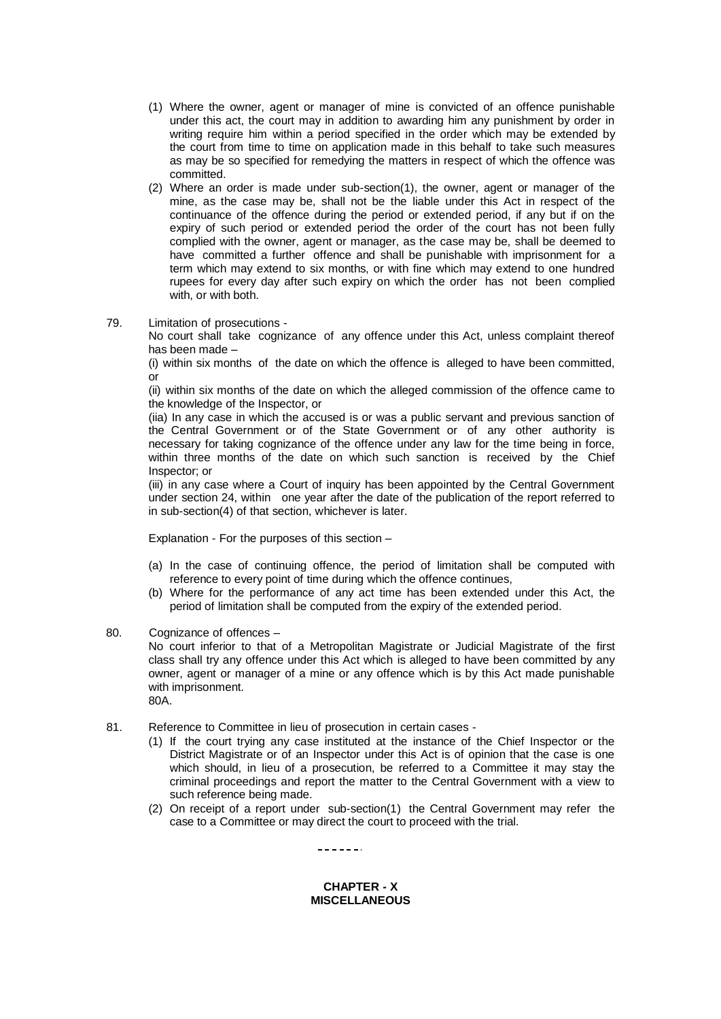- (1) Where the owner, agent or manager of mine is convicted of an offence punishable under this act, the court may in addition to awarding him any punishment by order in writing require him within a period specified in the order which may be extended by the court from time to time on application made in this behalf to take such measures as may be so specified for remedying the matters in respect of which the offence was committed.
- (2) Where an order is made under sub-section(1), the owner, agent or manager of the mine, as the case may be, shall not be the liable under this Act in respect of the continuance of the offence during the period or extended period, if any but if on the expiry of such period or extended period the order of the court has not been fully complied with the owner, agent or manager, as the case may be, shall be deemed to have committed a further offence and shall be punishable with imprisonment for a term which may extend to six months, or with fine which may extend to one hundred rupees for every day after such expiry on which the order has not been complied with, or with both.

## 79. Limitation of prosecutions -

No court shall take cognizance of any offence under this Act, unless complaint thereof has been made –

(i) within six months of the date on which the offence is alleged to have been committed, or

(ii) within six months of the date on which the alleged commission of the offence came to the knowledge of the Inspector, or

(iia) In any case in which the accused is or was a public servant and previous sanction of the Central Government or of the State Government or of any other authority is necessary for taking cognizance of the offence under any law for the time being in force, within three months of the date on which such sanction is received by the Chief Inspector; or

(iii) in any case where a Court of inquiry has been appointed by the Central Government under section 24, within one year after the date of the publication of the report referred to in sub-section(4) of that section, whichever is later.

Explanation - For the purposes of this section –

- (a) In the case of continuing offence, the period of limitation shall be computed with reference to every point of time during which the offence continues,
- (b) Where for the performance of any act time has been extended under this Act, the period of limitation shall be computed from the expiry of the extended period.

## 80. Cognizance of offences –

No court inferior to that of a Metropolitan Magistrate or Judicial Magistrate of the first class shall try any offence under this Act which is alleged to have been committed by any owner, agent or manager of a mine or any offence which is by this Act made punishable with imprisonment. 80A.

- 81. Reference to Committee in lieu of prosecution in certain cases
	- (1) If the court trying any case instituted at the instance of the Chief Inspector or the District Magistrate or of an Inspector under this Act is of opinion that the case is one which should, in lieu of a prosecution, be referred to a Committee it may stay the criminal proceedings and report the matter to the Central Government with a view to such reference being made.
	- (2) On receipt of a report under sub-section(1) the Central Government may refer the case to a Committee or may direct the court to proceed with the trial.

#### **CHAPTER - X MISCELLANEOUS**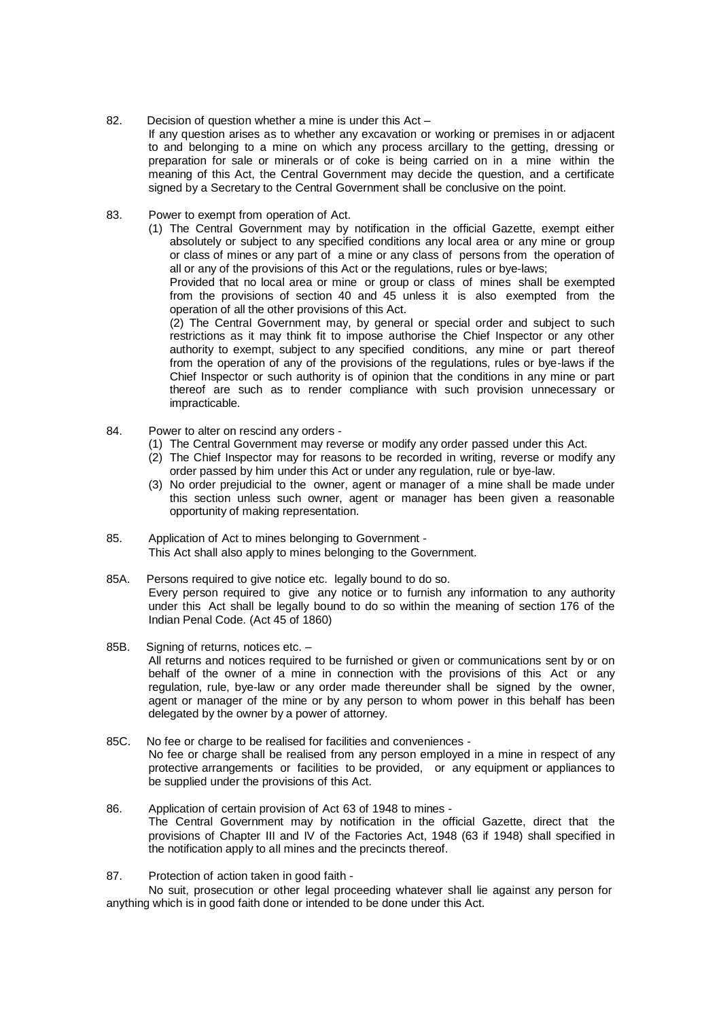82. Decision of question whether a mine is under this Act –

If any question arises as to whether any excavation or working or premises in or adjacent to and belonging to a mine on which any process arcillary to the getting, dressing or preparation for sale or minerals or of coke is being carried on in a mine within the meaning of this Act, the Central Government may decide the question, and a certificate signed by a Secretary to the Central Government shall be conclusive on the point.

- 83. Power to exempt from operation of Act.
	- (1) The Central Government may by notification in the official Gazette, exempt either absolutely or subject to any specified conditions any local area or any mine or group or class of mines or any part of a mine or any class of persons from the operation of all or any of the provisions of this Act or the regulations, rules or bye-laws;

Provided that no local area or mine or group or class of mines shall be exempted from the provisions of section 40 and 45 unless it is also exempted from the operation of all the other provisions of this Act.

(2) The Central Government may, by general or special order and subject to such restrictions as it may think fit to impose authorise the Chief Inspector or any other authority to exempt, subject to any specified conditions, any mine or part thereof from the operation of any of the provisions of the regulations, rules or bye-laws if the Chief Inspector or such authority is of opinion that the conditions in any mine or part thereof are such as to render compliance with such provision unnecessary or impracticable.

- 84. Power to alter on rescind any orders
	- (1) The Central Government may reverse or modify any order passed under this Act.
	- (2) The Chief Inspector may for reasons to be recorded in writing, reverse or modify any order passed by him under this Act or under any regulation, rule or bye-law.
	- (3) No order prejudicial to the owner, agent or manager of a mine shall be made under this section unless such owner, agent or manager has been given a reasonable opportunity of making representation.
- 85. Application of Act to mines belonging to Government This Act shall also apply to mines belonging to the Government.
- 85A. Persons required to give notice etc. legally bound to do so. Every person required to give any notice or to furnish any information to any authority under this Act shall be legally bound to do so within the meaning of section 176 of the Indian Penal Code. (Act 45 of 1860)
- 85B. Signing of returns, notices etc. All returns and notices required to be furnished or given or communications sent by or on behalf of the owner of a mine in connection with the provisions of this Act or any regulation, rule, bye-law or any order made thereunder shall be signed by the owner, agent or manager of the mine or by any person to whom power in this behalf has been delegated by the owner by a power of attorney.
- 85C. No fee or charge to be realised for facilities and conveniences No fee or charge shall be realised from any person employed in a mine in respect of any protective arrangements or facilities to be provided, or any equipment or appliances to be supplied under the provisions of this Act.
- 86. Application of certain provision of Act 63 of 1948 to mines The Central Government may by notification in the official Gazette, direct that the provisions of Chapter III and IV of the Factories Act, 1948 (63 if 1948) shall specified in the notification apply to all mines and the precincts thereof.
- 87. Protection of action taken in good faith -

No suit, prosecution or other legal proceeding whatever shall lie against any person for anything which is in good faith done or intended to be done under this Act.